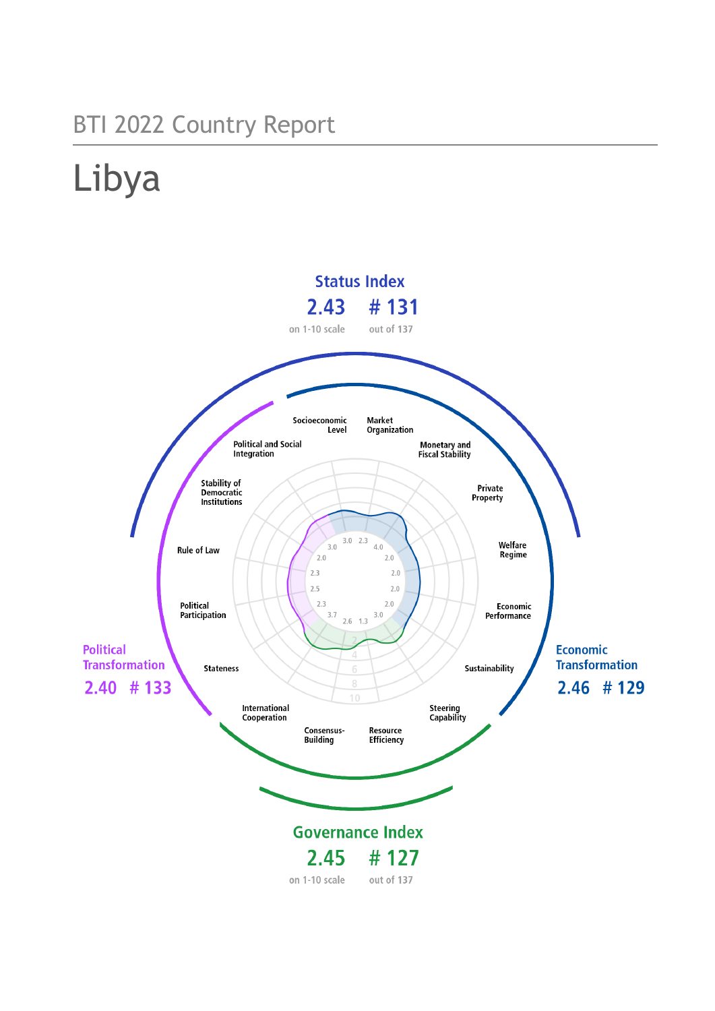## BTI 2022 Country Report

# Libya

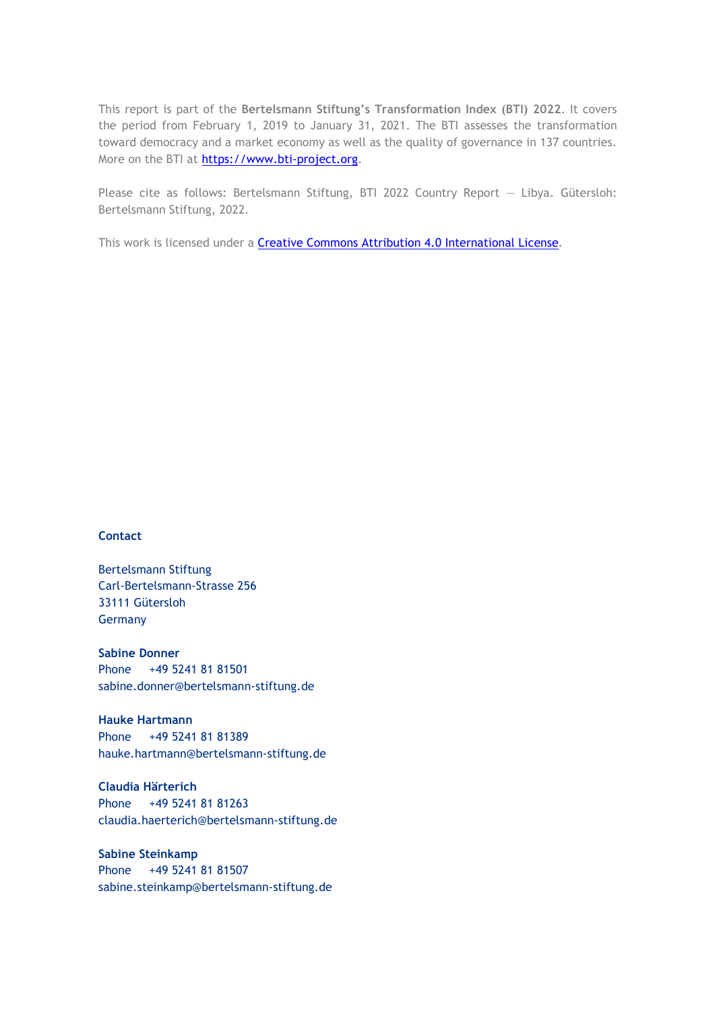This report is part of the **Bertelsmann Stiftung's Transformation Index (BTI) 2022**. It covers the period from February 1, 2019 to January 31, 2021. The BTI assesses the transformation toward democracy and a market economy as well as the quality of governance in 137 countries. More on the BTI at [https://www.bti-project.org.](https://www.bti-project.org/)

Please cite as follows: Bertelsmann Stiftung, BTI 2022 Country Report — Libya. Gütersloh: Bertelsmann Stiftung, 2022.

This work is licensed under a **Creative Commons Attribution 4.0 International License**.

#### **Contact**

Bertelsmann Stiftung Carl-Bertelsmann-Strasse 256 33111 Gütersloh Germany

**Sabine Donner** Phone +49 5241 81 81501 sabine.donner@bertelsmann-stiftung.de

**Hauke Hartmann** Phone +49 5241 81 81389 hauke.hartmann@bertelsmann-stiftung.de

**Claudia Härterich** Phone +49 5241 81 81263 claudia.haerterich@bertelsmann-stiftung.de

#### **Sabine Steinkamp** Phone +49 5241 81 81507 sabine.steinkamp@bertelsmann-stiftung.de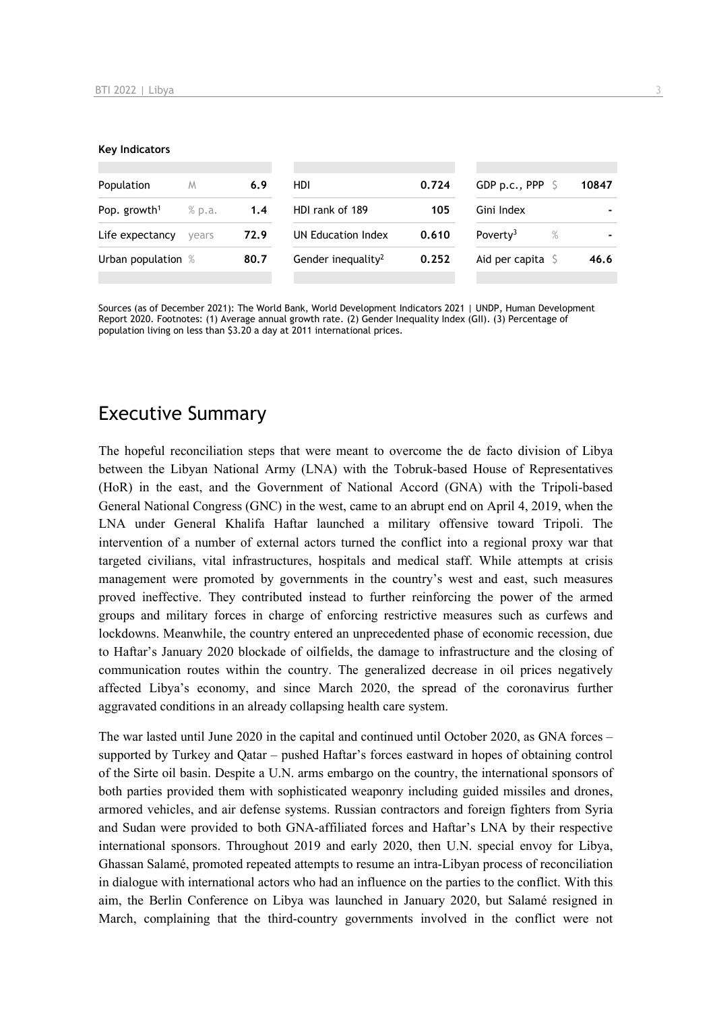#### **Key Indicators**

| Population               | M      | 6.9  | HDI                            | 0.724 | GDP p.c., PPP $\sqrt{5}$     | 10847 |
|--------------------------|--------|------|--------------------------------|-------|------------------------------|-------|
| Pop. growth <sup>1</sup> | % p.a. | 1.4  | HDI rank of 189                | 105   | Gini Index                   |       |
| Life expectancy          | vears  | 72.9 | UN Education Index             | 0.610 | Poverty <sup>3</sup><br>$\%$ |       |
| Urban population %       |        | 80.7 | Gender inequality <sup>2</sup> | 0.252 | Aid per capita $S$           | 46.6  |
|                          |        |      |                                |       |                              |       |

Sources (as of December 2021): The World Bank, World Development Indicators 2021 | UNDP, Human Development Report 2020. Footnotes: (1) Average annual growth rate. (2) Gender Inequality Index (GII). (3) Percentage of population living on less than \$3.20 a day at 2011 international prices.

## Executive Summary

The hopeful reconciliation steps that were meant to overcome the de facto division of Libya between the Libyan National Army (LNA) with the Tobruk-based House of Representatives (HoR) in the east, and the Government of National Accord (GNA) with the Tripoli-based General National Congress (GNC) in the west, came to an abrupt end on April 4, 2019, when the LNA under General Khalifa Haftar launched a military offensive toward Tripoli. The intervention of a number of external actors turned the conflict into a regional proxy war that targeted civilians, vital infrastructures, hospitals and medical staff. While attempts at crisis management were promoted by governments in the country's west and east, such measures proved ineffective. They contributed instead to further reinforcing the power of the armed groups and military forces in charge of enforcing restrictive measures such as curfews and lockdowns. Meanwhile, the country entered an unprecedented phase of economic recession, due to Haftar's January 2020 blockade of oilfields, the damage to infrastructure and the closing of communication routes within the country. The generalized decrease in oil prices negatively affected Libya's economy, and since March 2020, the spread of the coronavirus further aggravated conditions in an already collapsing health care system.

The war lasted until June 2020 in the capital and continued until October 2020, as GNA forces – supported by Turkey and Qatar – pushed Haftar's forces eastward in hopes of obtaining control of the Sirte oil basin. Despite a U.N. arms embargo on the country, the international sponsors of both parties provided them with sophisticated weaponry including guided missiles and drones, armored vehicles, and air defense systems. Russian contractors and foreign fighters from Syria and Sudan were provided to both GNA-affiliated forces and Haftar's LNA by their respective international sponsors. Throughout 2019 and early 2020, then U.N. special envoy for Libya, Ghassan Salamé, promoted repeated attempts to resume an intra-Libyan process of reconciliation in dialogue with international actors who had an influence on the parties to the conflict. With this aim, the Berlin Conference on Libya was launched in January 2020, but Salamé resigned in March, complaining that the third-country governments involved in the conflict were not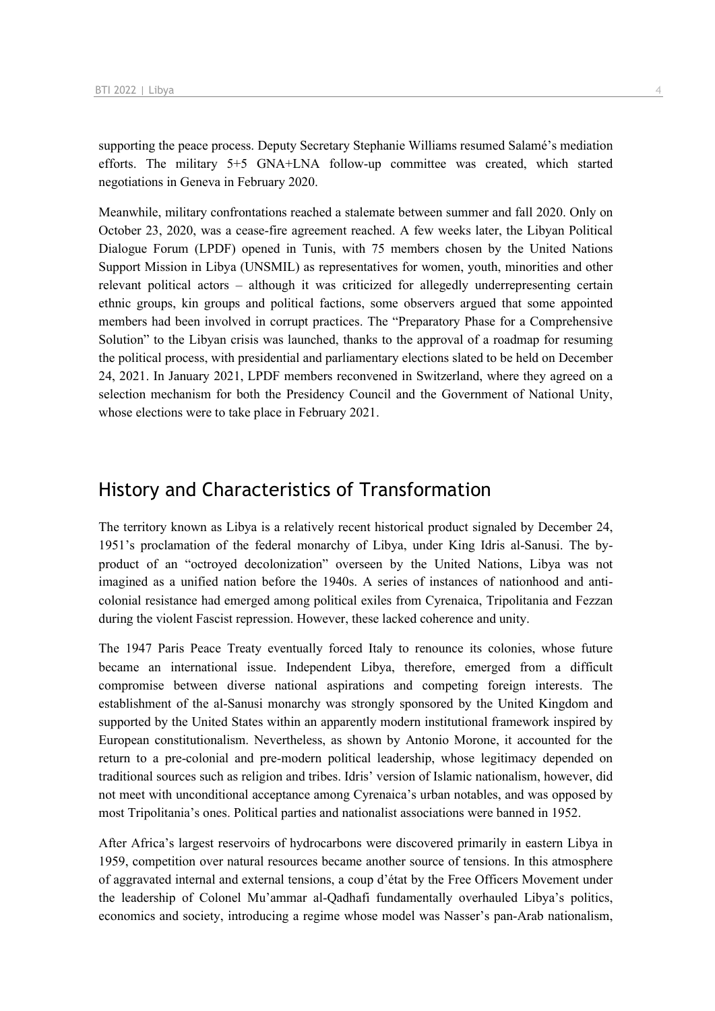supporting the peace process. Deputy Secretary Stephanie Williams resumed Salamé's mediation efforts. The military 5+5 GNA+LNA follow-up committee was created, which started negotiations in Geneva in February 2020.

Meanwhile, military confrontations reached a stalemate between summer and fall 2020. Only on October 23, 2020, was a cease-fire agreement reached. A few weeks later, the Libyan Political Dialogue Forum (LPDF) opened in Tunis, with 75 members chosen by the United Nations Support Mission in Libya (UNSMIL) as representatives for women, youth, minorities and other relevant political actors – although it was criticized for allegedly underrepresenting certain ethnic groups, kin groups and political factions, some observers argued that some appointed members had been involved in corrupt practices. The "Preparatory Phase for a Comprehensive Solution" to the Libyan crisis was launched, thanks to the approval of a roadmap for resuming the political process, with presidential and parliamentary elections slated to be held on December 24, 2021. In January 2021, LPDF members reconvened in Switzerland, where they agreed on a selection mechanism for both the Presidency Council and the Government of National Unity, whose elections were to take place in February 2021.

## History and Characteristics of Transformation

The territory known as Libya is a relatively recent historical product signaled by December 24, 1951's proclamation of the federal monarchy of Libya, under King Idris al-Sanusi. The byproduct of an "octroyed decolonization" overseen by the United Nations, Libya was not imagined as a unified nation before the 1940s. A series of instances of nationhood and anticolonial resistance had emerged among political exiles from Cyrenaica, Tripolitania and Fezzan during the violent Fascist repression. However, these lacked coherence and unity.

The 1947 Paris Peace Treaty eventually forced Italy to renounce its colonies, whose future became an international issue. Independent Libya, therefore, emerged from a difficult compromise between diverse national aspirations and competing foreign interests. The establishment of the al-Sanusi monarchy was strongly sponsored by the United Kingdom and supported by the United States within an apparently modern institutional framework inspired by European constitutionalism. Nevertheless, as shown by Antonio Morone, it accounted for the return to a pre-colonial and pre-modern political leadership, whose legitimacy depended on traditional sources such as religion and tribes. Idris' version of Islamic nationalism, however, did not meet with unconditional acceptance among Cyrenaica's urban notables, and was opposed by most Tripolitania's ones. Political parties and nationalist associations were banned in 1952.

After Africa's largest reservoirs of hydrocarbons were discovered primarily in eastern Libya in 1959, competition over natural resources became another source of tensions. In this atmosphere of aggravated internal and external tensions, a coup d'état by the Free Officers Movement under the leadership of Colonel Mu'ammar al-Qadhafi fundamentally overhauled Libya's politics, economics and society, introducing a regime whose model was Nasser's pan-Arab nationalism,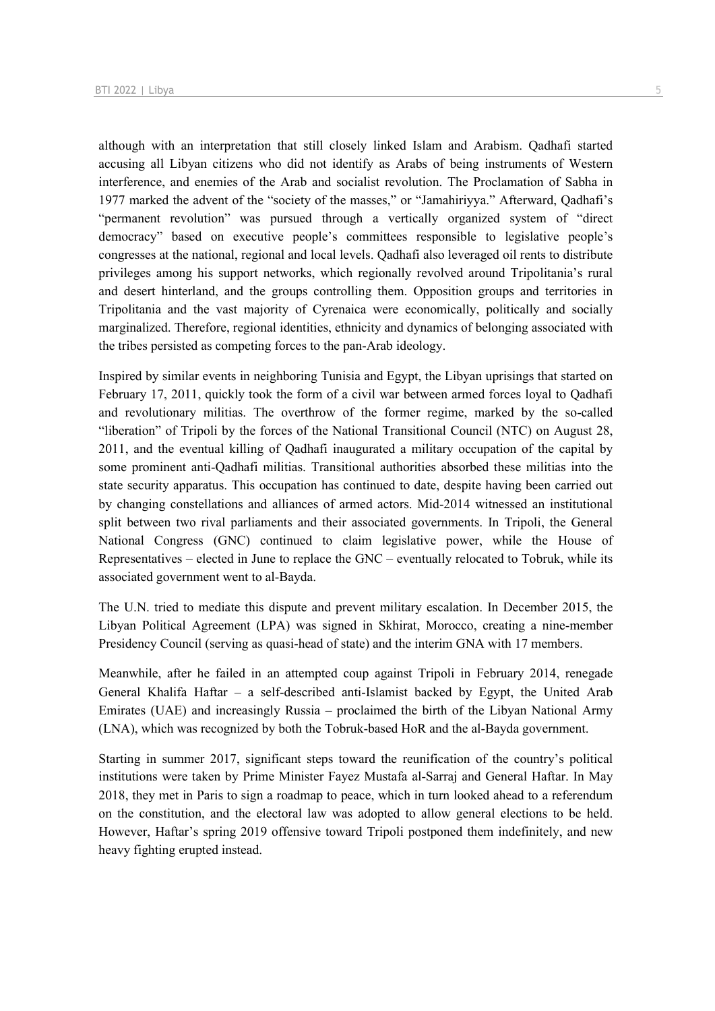although with an interpretation that still closely linked Islam and Arabism. Qadhafi started accusing all Libyan citizens who did not identify as Arabs of being instruments of Western interference, and enemies of the Arab and socialist revolution. The Proclamation of Sabha in 1977 marked the advent of the "society of the masses," or "Jamahiriyya." Afterward, Qadhafi's "permanent revolution" was pursued through a vertically organized system of "direct democracy" based on executive people's committees responsible to legislative people's congresses at the national, regional and local levels. Qadhafi also leveraged oil rents to distribute privileges among his support networks, which regionally revolved around Tripolitania's rural and desert hinterland, and the groups controlling them. Opposition groups and territories in Tripolitania and the vast majority of Cyrenaica were economically, politically and socially marginalized. Therefore, regional identities, ethnicity and dynamics of belonging associated with the tribes persisted as competing forces to the pan-Arab ideology.

Inspired by similar events in neighboring Tunisia and Egypt, the Libyan uprisings that started on February 17, 2011, quickly took the form of a civil war between armed forces loyal to Qadhafi and revolutionary militias. The overthrow of the former regime, marked by the so-called "liberation" of Tripoli by the forces of the National Transitional Council (NTC) on August 28, 2011, and the eventual killing of Qadhafi inaugurated a military occupation of the capital by some prominent anti-Qadhafi militias. Transitional authorities absorbed these militias into the state security apparatus. This occupation has continued to date, despite having been carried out by changing constellations and alliances of armed actors. Mid-2014 witnessed an institutional split between two rival parliaments and their associated governments. In Tripoli, the General National Congress (GNC) continued to claim legislative power, while the House of Representatives – elected in June to replace the GNC – eventually relocated to Tobruk, while its associated government went to al-Bayda.

The U.N. tried to mediate this dispute and prevent military escalation. In December 2015, the Libyan Political Agreement (LPA) was signed in Skhirat, Morocco, creating a nine-member Presidency Council (serving as quasi-head of state) and the interim GNA with 17 members.

Meanwhile, after he failed in an attempted coup against Tripoli in February 2014, renegade General Khalifa Haftar – a self-described anti-Islamist backed by Egypt, the United Arab Emirates (UAE) and increasingly Russia – proclaimed the birth of the Libyan National Army (LNA), which was recognized by both the Tobruk-based HoR and the al-Bayda government.

Starting in summer 2017, significant steps toward the reunification of the country's political institutions were taken by Prime Minister Fayez Mustafa al-Sarraj and General Haftar. In May 2018, they met in Paris to sign a roadmap to peace, which in turn looked ahead to a referendum on the constitution, and the electoral law was adopted to allow general elections to be held. However, Haftar's spring 2019 offensive toward Tripoli postponed them indefinitely, and new heavy fighting erupted instead.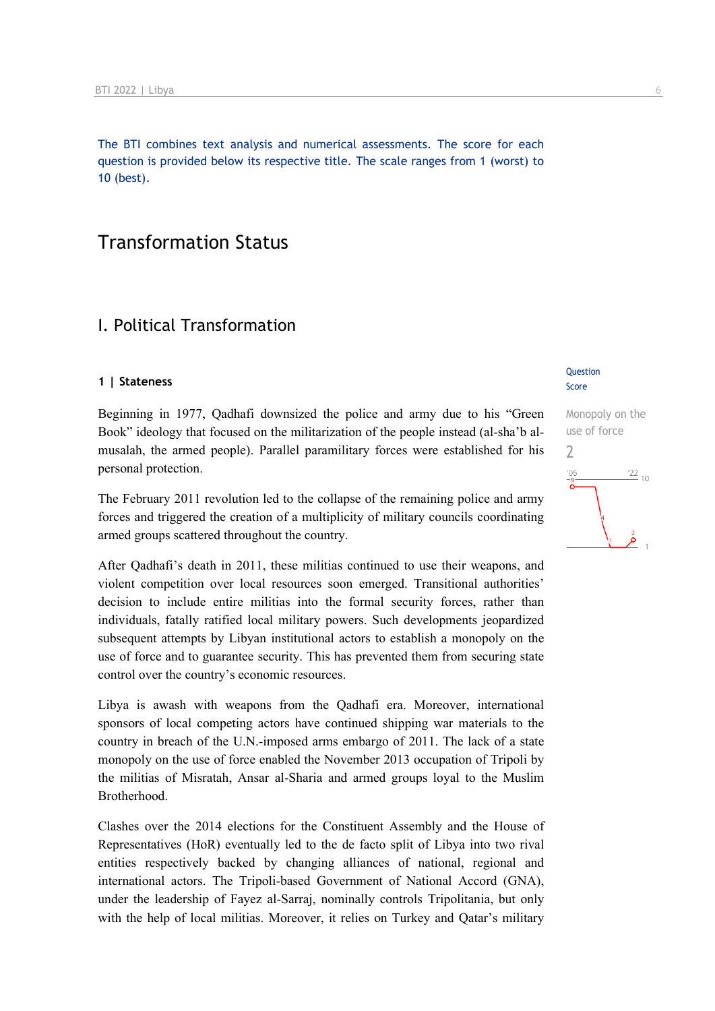The BTI combines text analysis and numerical assessments. The score for each question is provided below its respective title. The scale ranges from 1 (worst) to 10 (best).

## Transformation Status

## I. Political Transformation

#### **1 | Stateness**

Beginning in 1977, Qadhafi downsized the police and army due to his "Green Book" ideology that focused on the militarization of the people instead (al-sha'b almusalah, the armed people). Parallel paramilitary forces were established for his personal protection.

The February 2011 revolution led to the collapse of the remaining police and army forces and triggered the creation of a multiplicity of military councils coordinating armed groups scattered throughout the country.

After Qadhafi's death in 2011, these militias continued to use their weapons, and violent competition over local resources soon emerged. Transitional authorities' decision to include entire militias into the formal security forces, rather than individuals, fatally ratified local military powers. Such developments jeopardized subsequent attempts by Libyan institutional actors to establish a monopoly on the use of force and to guarantee security. This has prevented them from securing state control over the country's economic resources.

Libya is awash with weapons from the Qadhafi era. Moreover, international sponsors of local competing actors have continued shipping war materials to the country in breach of the U.N.-imposed arms embargo of 2011. The lack of a state monopoly on the use of force enabled the November 2013 occupation of Tripoli by the militias of Misratah, Ansar al-Sharia and armed groups loyal to the Muslim Brotherhood.

Clashes over the 2014 elections for the Constituent Assembly and the House of Representatives (HoR) eventually led to the de facto split of Libya into two rival entities respectively backed by changing alliances of national, regional and international actors. The Tripoli-based Government of National Accord (GNA), under the leadership of Fayez al-Sarraj, nominally controls Tripolitania, but only with the help of local militias. Moreover, it relies on Turkey and Qatar's military

#### **Question** Score

Monopoly on the use of force  $\overline{\phantom{0}}$  $\frac{22}{10}$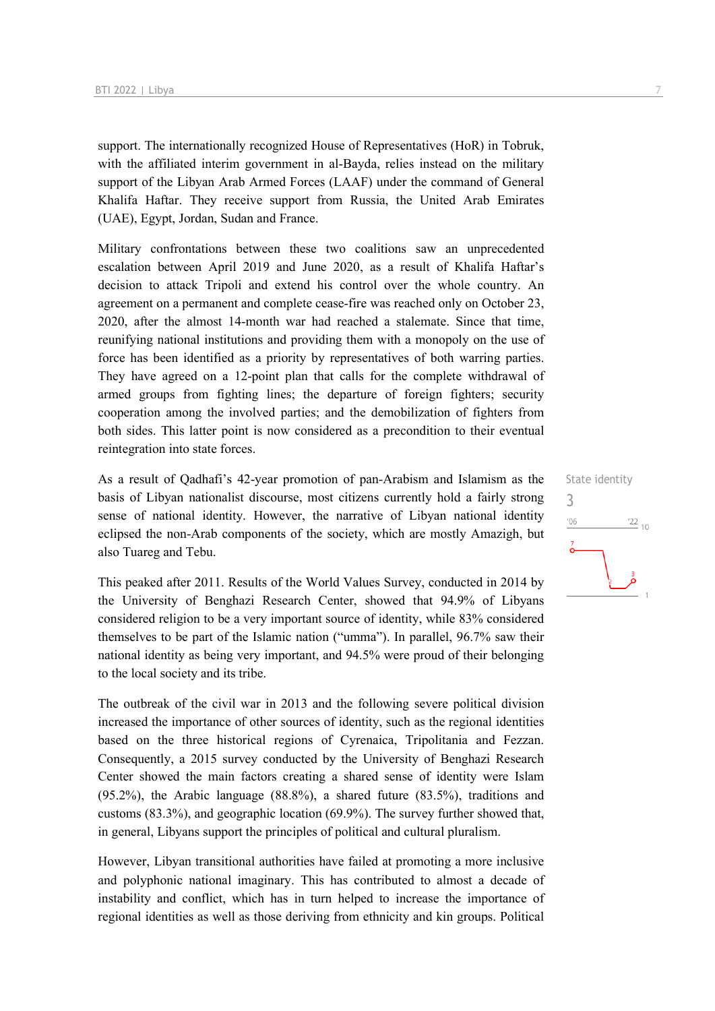support. The internationally recognized House of Representatives (HoR) in Tobruk, with the affiliated interim government in al-Bayda, relies instead on the military support of the Libyan Arab Armed Forces (LAAF) under the command of General Khalifa Haftar. They receive support from Russia, the United Arab Emirates (UAE), Egypt, Jordan, Sudan and France.

Military confrontations between these two coalitions saw an unprecedented escalation between April 2019 and June 2020, as a result of Khalifa Haftar's decision to attack Tripoli and extend his control over the whole country. An agreement on a permanent and complete cease-fire was reached only on October 23, 2020, after the almost 14-month war had reached a stalemate. Since that time, reunifying national institutions and providing them with a monopoly on the use of force has been identified as a priority by representatives of both warring parties. They have agreed on a 12-point plan that calls for the complete withdrawal of armed groups from fighting lines; the departure of foreign fighters; security cooperation among the involved parties; and the demobilization of fighters from both sides. This latter point is now considered as a precondition to their eventual reintegration into state forces.

As a result of Qadhafi's 42-year promotion of pan-Arabism and Islamism as the basis of Libyan nationalist discourse, most citizens currently hold a fairly strong sense of national identity. However, the narrative of Libyan national identity eclipsed the non-Arab components of the society, which are mostly Amazigh, but also Tuareg and Tebu.

This peaked after 2011. Results of the World Values Survey, conducted in 2014 by the University of Benghazi Research Center, showed that 94.9% of Libyans considered religion to be a very important source of identity, while 83% considered themselves to be part of the Islamic nation ("umma"). In parallel, 96.7% saw their national identity as being very important, and 94.5% were proud of their belonging to the local society and its tribe.

The outbreak of the civil war in 2013 and the following severe political division increased the importance of other sources of identity, such as the regional identities based on the three historical regions of Cyrenaica, Tripolitania and Fezzan. Consequently, a 2015 survey conducted by the University of Benghazi Research Center showed the main factors creating a shared sense of identity were Islam (95.2%), the Arabic language (88.8%), a shared future (83.5%), traditions and customs (83.3%), and geographic location (69.9%). The survey further showed that, in general, Libyans support the principles of political and cultural pluralism.

However, Libyan transitional authorities have failed at promoting a more inclusive and polyphonic national imaginary. This has contributed to almost a decade of instability and conflict, which has in turn helped to increase the importance of regional identities as well as those deriving from ethnicity and kin groups. Political State identity 3 $^{\prime}06$  $\frac{22}{10}$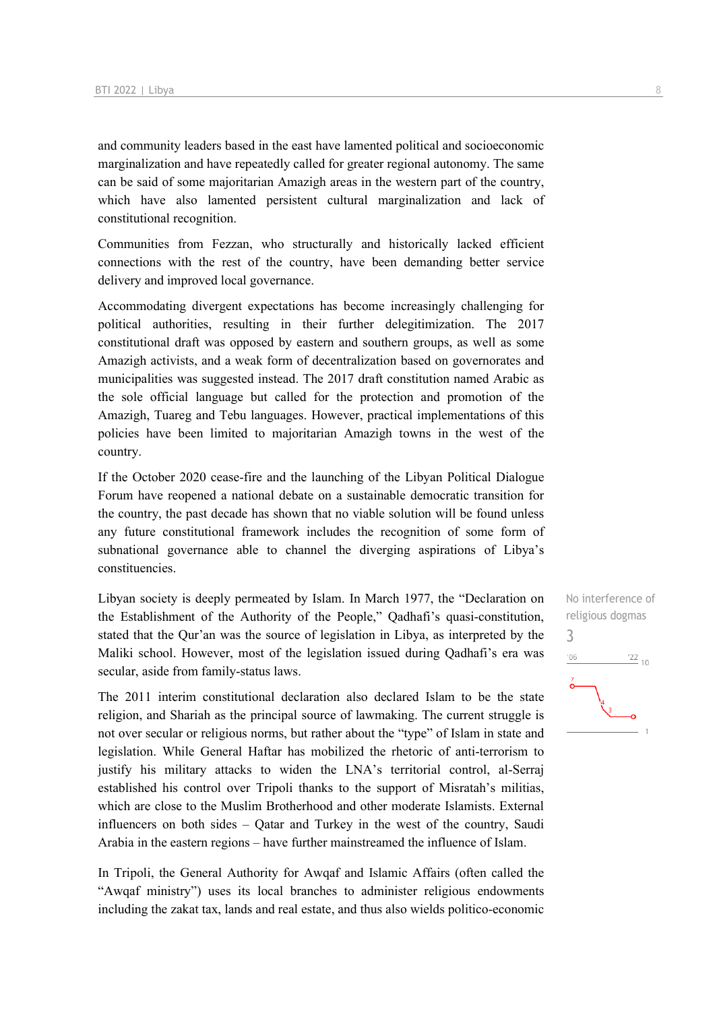and community leaders based in the east have lamented political and socioeconomic marginalization and have repeatedly called for greater regional autonomy. The same can be said of some majoritarian Amazigh areas in the western part of the country, which have also lamented persistent cultural marginalization and lack of constitutional recognition.

Communities from Fezzan, who structurally and historically lacked efficient connections with the rest of the country, have been demanding better service delivery and improved local governance.

Accommodating divergent expectations has become increasingly challenging for political authorities, resulting in their further delegitimization. The 2017 constitutional draft was opposed by eastern and southern groups, as well as some Amazigh activists, and a weak form of decentralization based on governorates and municipalities was suggested instead. The 2017 draft constitution named Arabic as the sole official language but called for the protection and promotion of the Amazigh, Tuareg and Tebu languages. However, practical implementations of this policies have been limited to majoritarian Amazigh towns in the west of the country.

If the October 2020 cease-fire and the launching of the Libyan Political Dialogue Forum have reopened a national debate on a sustainable democratic transition for the country, the past decade has shown that no viable solution will be found unless any future constitutional framework includes the recognition of some form of subnational governance able to channel the diverging aspirations of Libya's constituencies.

Libyan society is deeply permeated by Islam. In March 1977, the "Declaration on the Establishment of the Authority of the People," Qadhafi's quasi-constitution, stated that the Qur'an was the source of legislation in Libya, as interpreted by the Maliki school. However, most of the legislation issued during Qadhafi's era was secular, aside from family-status laws.

The 2011 interim constitutional declaration also declared Islam to be the state religion, and Shariah as the principal source of lawmaking. The current struggle is not over secular or religious norms, but rather about the "type" of Islam in state and legislation. While General Haftar has mobilized the rhetoric of anti-terrorism to justify his military attacks to widen the LNA's territorial control, al-Serraj established his control over Tripoli thanks to the support of Misratah's militias, which are close to the Muslim Brotherhood and other moderate Islamists. External influencers on both sides – Qatar and Turkey in the west of the country, Saudi Arabia in the eastern regions – have further mainstreamed the influence of Islam.

In Tripoli, the General Authority for Awqaf and Islamic Affairs (often called the "Awqaf ministry") uses its local branches to administer religious endowments including the zakat tax, lands and real estate, and thus also wields politico-economic

No interference of religious dogmas 3 $\frac{22}{10}$  $'06$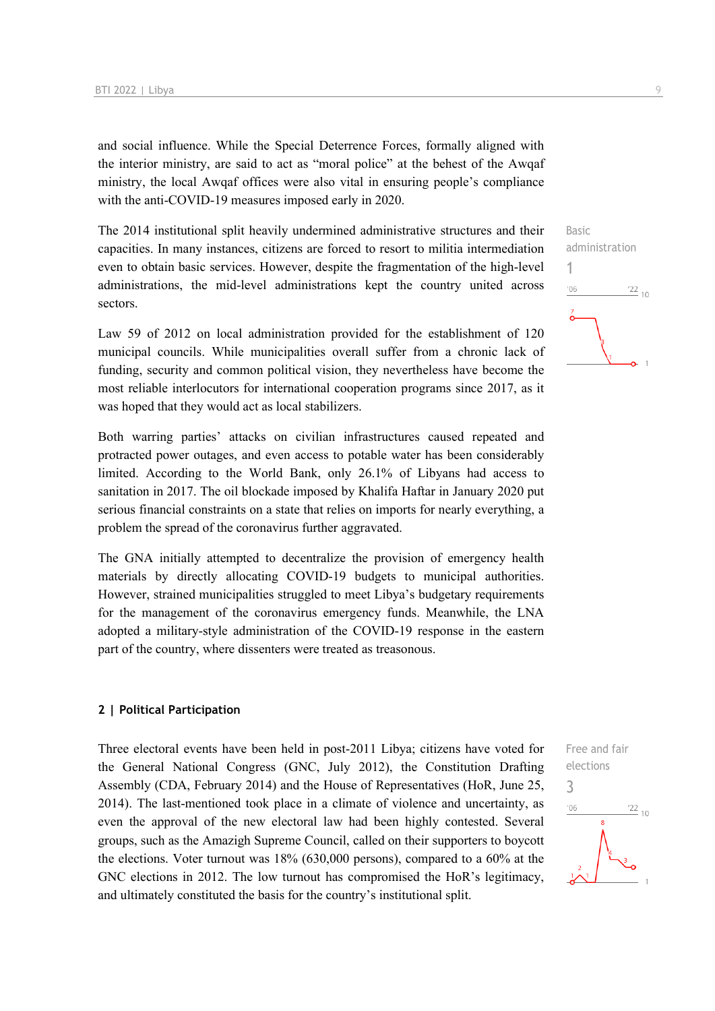and social influence. While the Special Deterrence Forces, formally aligned with the interior ministry, are said to act as "moral police" at the behest of the Awqaf ministry, the local Awqaf offices were also vital in ensuring people's compliance with the anti-COVID-19 measures imposed early in 2020.

The 2014 institutional split heavily undermined administrative structures and their capacities. In many instances, citizens are forced to resort to militia intermediation even to obtain basic services. However, despite the fragmentation of the high-level administrations, the mid-level administrations kept the country united across sectors.

Law 59 of 2012 on local administration provided for the establishment of 120 municipal councils. While municipalities overall suffer from a chronic lack of funding, security and common political vision, they nevertheless have become the most reliable interlocutors for international cooperation programs since 2017, as it was hoped that they would act as local stabilizers.

Both warring parties' attacks on civilian infrastructures caused repeated and protracted power outages, and even access to potable water has been considerably limited. According to the World Bank, only 26.1% of Libyans had access to sanitation in 2017. The oil blockade imposed by Khalifa Haftar in January 2020 put serious financial constraints on a state that relies on imports for nearly everything, a problem the spread of the coronavirus further aggravated.

The GNA initially attempted to decentralize the provision of emergency health materials by directly allocating COVID-19 budgets to municipal authorities. However, strained municipalities struggled to meet Libya's budgetary requirements for the management of the coronavirus emergency funds. Meanwhile, the LNA adopted a military-style administration of the COVID-19 response in the eastern part of the country, where dissenters were treated as treasonous.

#### **2 | Political Participation**

Three electoral events have been held in post-2011 Libya; citizens have voted for the General National Congress (GNC, July 2012), the Constitution Drafting Assembly (CDA, February 2014) and the House of Representatives (HoR, June 25, 2014). The last-mentioned took place in a climate of violence and uncertainty, as even the approval of the new electoral law had been highly contested. Several groups, such as the Amazigh Supreme Council, called on their supporters to boycott the elections. Voter turnout was 18% (630,000 persons), compared to a 60% at the GNC elections in 2012. The low turnout has compromised the HoR's legitimacy, and ultimately constituted the basis for the country's institutional split.



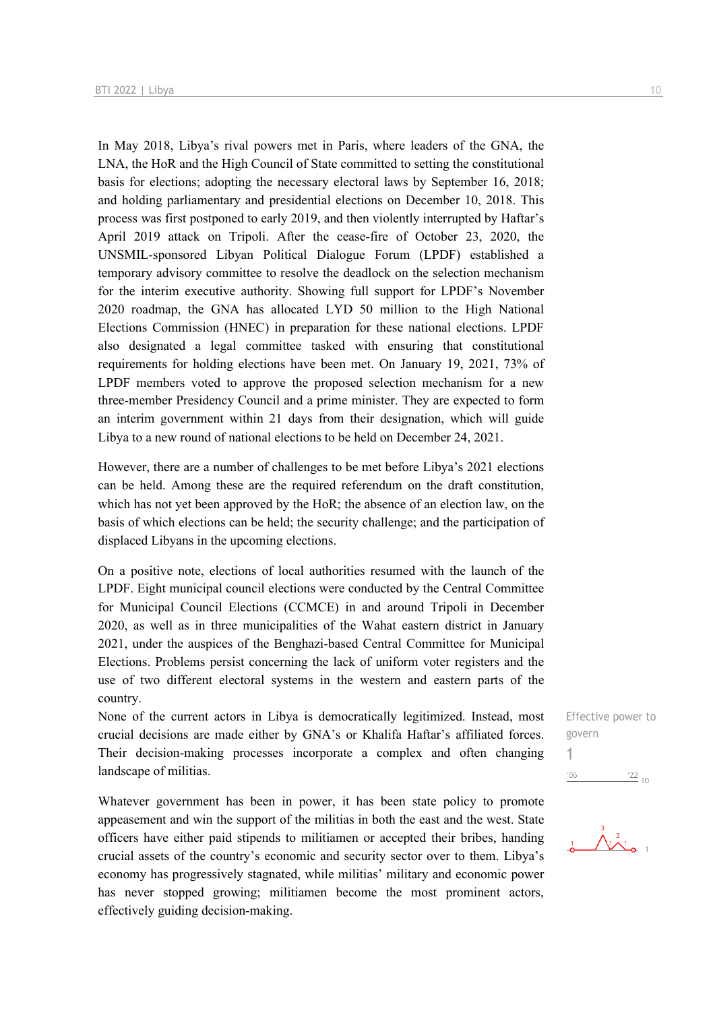In May 2018, Libya's rival powers met in Paris, where leaders of the GNA, the LNA, the HoR and the High Council of State committed to setting the constitutional basis for elections; adopting the necessary electoral laws by September 16, 2018; and holding parliamentary and presidential elections on December 10, 2018. This process was first postponed to early 2019, and then violently interrupted by Haftar's April 2019 attack on Tripoli. After the cease-fire of October 23, 2020, the UNSMIL-sponsored Libyan Political Dialogue Forum (LPDF) established a temporary advisory committee to resolve the deadlock on the selection mechanism for the interim executive authority. Showing full support for LPDF's November 2020 roadmap, the GNA has allocated LYD 50 million to the High National Elections Commission (HNEC) in preparation for these national elections. LPDF also designated a legal committee tasked with ensuring that constitutional requirements for holding elections have been met. On January 19, 2021, 73% of LPDF members voted to approve the proposed selection mechanism for a new three-member Presidency Council and a prime minister. They are expected to form an interim government within 21 days from their designation, which will guide Libya to a new round of national elections to be held on December 24, 2021.

However, there are a number of challenges to be met before Libya's 2021 elections can be held. Among these are the required referendum on the draft constitution, which has not yet been approved by the HoR; the absence of an election law, on the basis of which elections can be held; the security challenge; and the participation of displaced Libyans in the upcoming elections.

On a positive note, elections of local authorities resumed with the launch of the LPDF. Eight municipal council elections were conducted by the Central Committee for Municipal Council Elections (CCMCE) in and around Tripoli in December 2020, as well as in three municipalities of the Wahat eastern district in January 2021, under the auspices of the Benghazi-based Central Committee for Municipal Elections. Problems persist concerning the lack of uniform voter registers and the use of two different electoral systems in the western and eastern parts of the country.

None of the current actors in Libya is democratically legitimized. Instead, most crucial decisions are made either by GNA's or Khalifa Haftar's affiliated forces. Their decision-making processes incorporate a complex and often changing landscape of militias.

Whatever government has been in power, it has been state policy to promote appeasement and win the support of the militias in both the east and the west. State officers have either paid stipends to militiamen or accepted their bribes, handing crucial assets of the country's economic and security sector over to them. Libya's economy has progressively stagnated, while militias' military and economic power has never stopped growing; militiamen become the most prominent actors, effectively guiding decision-making.

Effective power to govern 1 $\frac{22}{10}$ 

 $'06$ 

 $\frac{1}{2}$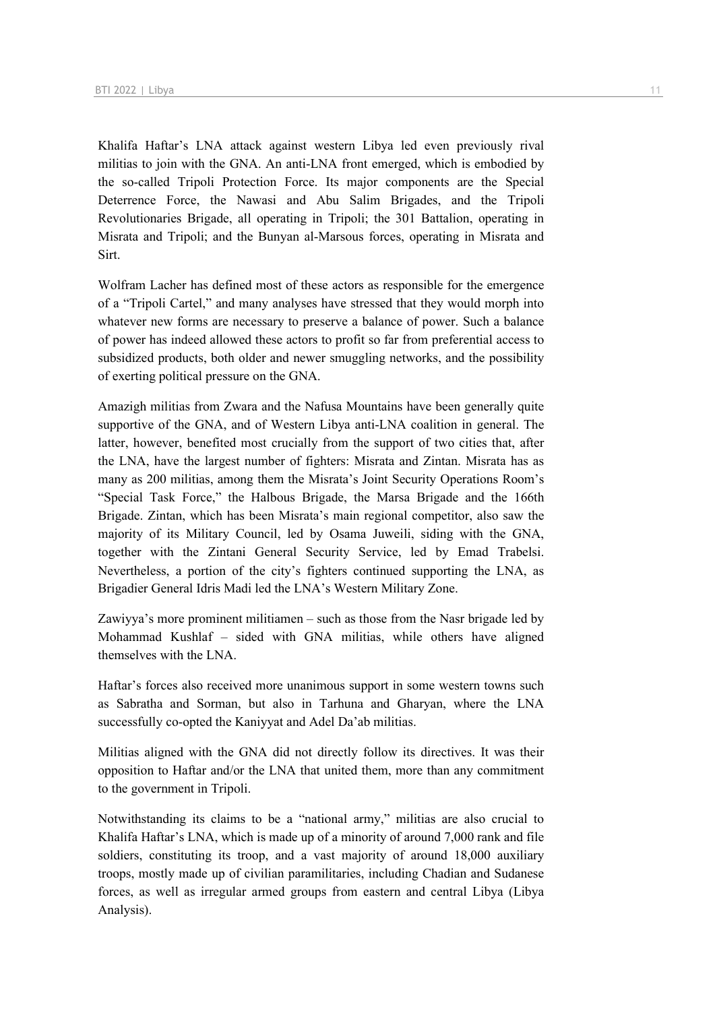Khalifa Haftar's LNA attack against western Libya led even previously rival militias to join with the GNA. An anti-LNA front emerged, which is embodied by the so-called Tripoli Protection Force. Its major components are the Special Deterrence Force, the Nawasi and Abu Salim Brigades, and the Tripoli Revolutionaries Brigade, all operating in Tripoli; the 301 Battalion, operating in Misrata and Tripoli; and the Bunyan al-Marsous forces, operating in Misrata and Sirt.

Wolfram Lacher has defined most of these actors as responsible for the emergence of a "Tripoli Cartel," and many analyses have stressed that they would morph into whatever new forms are necessary to preserve a balance of power. Such a balance of power has indeed allowed these actors to profit so far from preferential access to subsidized products, both older and newer smuggling networks, and the possibility of exerting political pressure on the GNA.

Amazigh militias from Zwara and the Nafusa Mountains have been generally quite supportive of the GNA, and of Western Libya anti-LNA coalition in general. The latter, however, benefited most crucially from the support of two cities that, after the LNA, have the largest number of fighters: Misrata and Zintan. Misrata has as many as 200 militias, among them the Misrata's Joint Security Operations Room's "Special Task Force," the Halbous Brigade, the Marsa Brigade and the 166th Brigade. Zintan, which has been Misrata's main regional competitor, also saw the majority of its Military Council, led by Osama Juweili, siding with the GNA, together with the Zintani General Security Service, led by Emad Trabelsi. Nevertheless, a portion of the city's fighters continued supporting the LNA, as Brigadier General Idris Madi led the LNA's Western Military Zone.

Zawiyya's more prominent militiamen – such as those from the Nasr brigade led by Mohammad Kushlaf – sided with GNA militias, while others have aligned themselves with the LNA.

Haftar's forces also received more unanimous support in some western towns such as Sabratha and Sorman, but also in Tarhuna and Gharyan, where the LNA successfully co-opted the Kaniyyat and Adel Da'ab militias.

Militias aligned with the GNA did not directly follow its directives. It was their opposition to Haftar and/or the LNA that united them, more than any commitment to the government in Tripoli.

Notwithstanding its claims to be a "national army," militias are also crucial to Khalifa Haftar's LNA, which is made up of a minority of around 7,000 rank and file soldiers, constituting its troop, and a vast majority of around 18,000 auxiliary troops, mostly made up of civilian paramilitaries, including Chadian and Sudanese forces, as well as irregular armed groups from eastern and central Libya (Libya Analysis).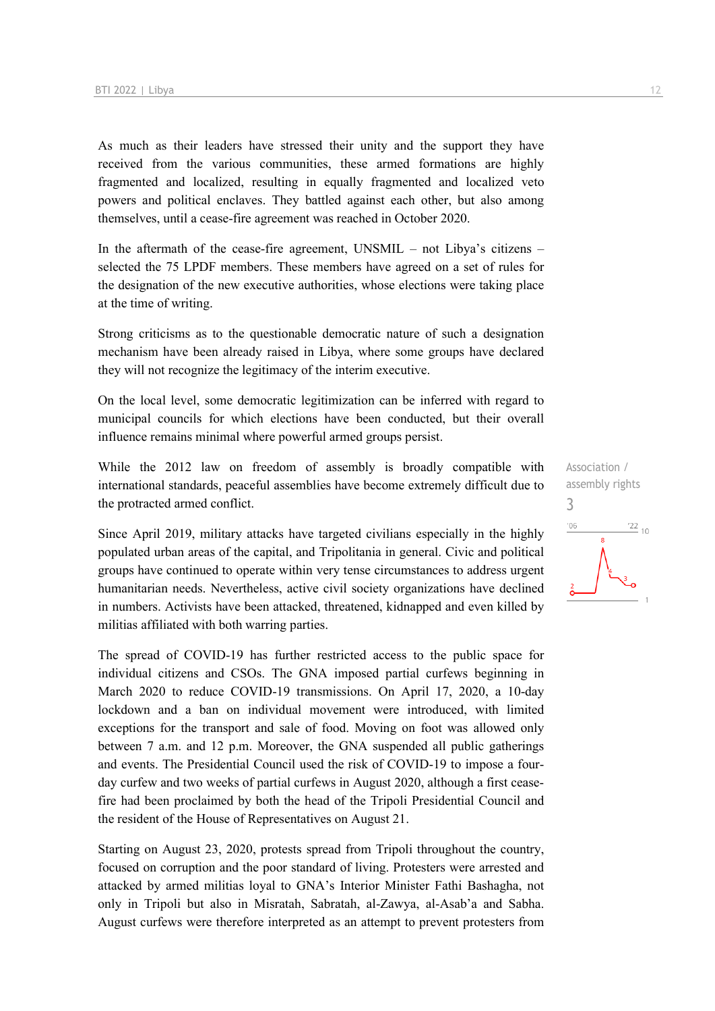As much as their leaders have stressed their unity and the support they have received from the various communities, these armed formations are highly fragmented and localized, resulting in equally fragmented and localized veto powers and political enclaves. They battled against each other, but also among themselves, until a cease-fire agreement was reached in October 2020.

In the aftermath of the cease-fire agreement, UNSMIL – not Libya's citizens – selected the 75 LPDF members. These members have agreed on a set of rules for the designation of the new executive authorities, whose elections were taking place at the time of writing.

Strong criticisms as to the questionable democratic nature of such a designation mechanism have been already raised in Libya, where some groups have declared they will not recognize the legitimacy of the interim executive.

On the local level, some democratic legitimization can be inferred with regard to municipal councils for which elections have been conducted, but their overall influence remains minimal where powerful armed groups persist.

While the 2012 law on freedom of assembly is broadly compatible with international standards, peaceful assemblies have become extremely difficult due to the protracted armed conflict.

Since April 2019, military attacks have targeted civilians especially in the highly populated urban areas of the capital, and Tripolitania in general. Civic and political groups have continued to operate within very tense circumstances to address urgent humanitarian needs. Nevertheless, active civil society organizations have declined in numbers. Activists have been attacked, threatened, kidnapped and even killed by militias affiliated with both warring parties.

The spread of COVID-19 has further restricted access to the public space for individual citizens and CSOs. The GNA imposed partial curfews beginning in March 2020 to reduce COVID-19 transmissions. On April 17, 2020, a 10-day lockdown and a ban on individual movement were introduced, with limited exceptions for the transport and sale of food. Moving on foot was allowed only between 7 a.m. and 12 p.m. Moreover, the GNA suspended all public gatherings and events. The Presidential Council used the risk of COVID-19 to impose a fourday curfew and two weeks of partial curfews in August 2020, although a first ceasefire had been proclaimed by both the head of the Tripoli Presidential Council and the resident of the House of Representatives on August 21.

Starting on August 23, 2020, protests spread from Tripoli throughout the country, focused on corruption and the poor standard of living. Protesters were arrested and attacked by armed militias loyal to GNA's Interior Minister Fathi Bashagha, not only in Tripoli but also in Misratah, Sabratah, al-Zawya, al-Asab'a and Sabha. August curfews were therefore interpreted as an attempt to prevent protesters from

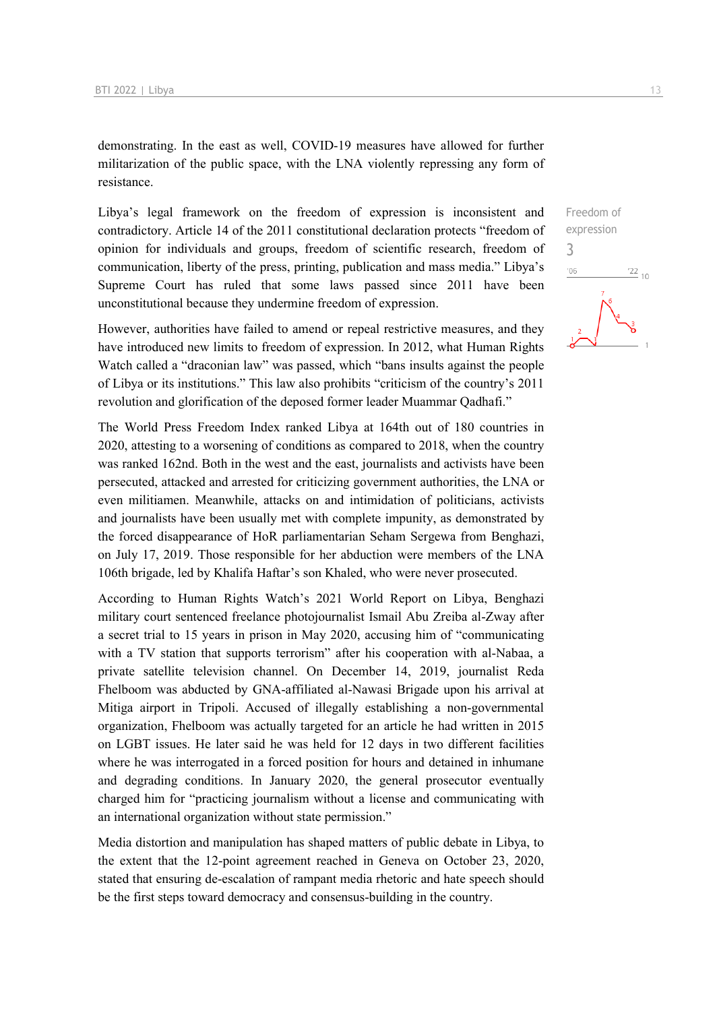demonstrating. In the east as well, COVID-19 measures have allowed for further militarization of the public space, with the LNA violently repressing any form of resistance.

Libya's legal framework on the freedom of expression is inconsistent and contradictory. Article 14 of the 2011 constitutional declaration protects "freedom of opinion for individuals and groups, freedom of scientific research, freedom of communication, liberty of the press, printing, publication and mass media." Libya's Supreme Court has ruled that some laws passed since 2011 have been unconstitutional because they undermine freedom of expression.

However, authorities have failed to amend or repeal restrictive measures, and they have introduced new limits to freedom of expression. In 2012, what Human Rights Watch called a "draconian law" was passed, which "bans insults against the people of Libya or its institutions." This law also prohibits "criticism of the country's 2011 revolution and glorification of the deposed former leader Muammar Qadhafi."

The World Press Freedom Index ranked Libya at 164th out of 180 countries in 2020, attesting to a worsening of conditions as compared to 2018, when the country was ranked 162nd. Both in the west and the east, journalists and activists have been persecuted, attacked and arrested for criticizing government authorities, the LNA or even militiamen. Meanwhile, attacks on and intimidation of politicians, activists and journalists have been usually met with complete impunity, as demonstrated by the forced disappearance of HoR parliamentarian Seham Sergewa from Benghazi, on July 17, 2019. Those responsible for her abduction were members of the LNA 106th brigade, led by Khalifa Haftar's son Khaled, who were never prosecuted.

According to Human Rights Watch's 2021 World Report on Libya, Benghazi military court sentenced freelance photojournalist Ismail Abu Zreiba al-Zway after a secret trial to 15 years in prison in May 2020, accusing him of "communicating with a TV station that supports terrorism" after his cooperation with al-Nabaa, a private satellite television channel. On December 14, 2019, journalist Reda Fhelboom was abducted by GNA-affiliated al-Nawasi Brigade upon his arrival at Mitiga airport in Tripoli. Accused of illegally establishing a non-governmental organization, Fhelboom was actually targeted for an article he had written in 2015 on LGBT issues. He later said he was held for 12 days in two different facilities where he was interrogated in a forced position for hours and detained in inhumane and degrading conditions. In January 2020, the general prosecutor eventually charged him for "practicing journalism without a license and communicating with an international organization without state permission."

Media distortion and manipulation has shaped matters of public debate in Libya, to the extent that the 12-point agreement reached in Geneva on October 23, 2020, stated that ensuring de-escalation of rampant media rhetoric and hate speech should be the first steps toward democracy and consensus-building in the country.

 $\frac{22}{10}$  $06'$ 

3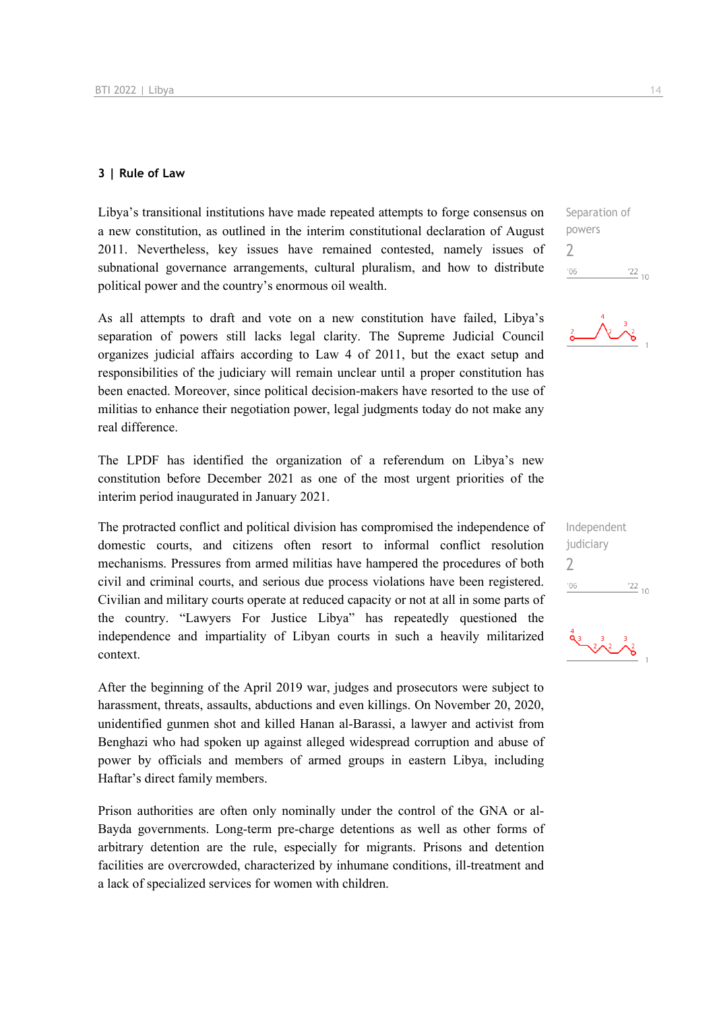#### **3 | Rule of Law**

Libya's transitional institutions have made repeated attempts to forge consensus on a new constitution, as outlined in the interim constitutional declaration of August 2011. Nevertheless, key issues have remained contested, namely issues of subnational governance arrangements, cultural pluralism, and how to distribute political power and the country's enormous oil wealth.

As all attempts to draft and vote on a new constitution have failed, Libya's separation of powers still lacks legal clarity. The Supreme Judicial Council organizes judicial affairs according to Law 4 of 2011, but the exact setup and responsibilities of the judiciary will remain unclear until a proper constitution has been enacted. Moreover, since political decision-makers have resorted to the use of militias to enhance their negotiation power, legal judgments today do not make any real difference.

The LPDF has identified the organization of a referendum on Libya's new constitution before December 2021 as one of the most urgent priorities of the interim period inaugurated in January 2021.

The protracted conflict and political division has compromised the independence of domestic courts, and citizens often resort to informal conflict resolution mechanisms. Pressures from armed militias have hampered the procedures of both civil and criminal courts, and serious due process violations have been registered. Civilian and military courts operate at reduced capacity or not at all in some parts of the country. "Lawyers For Justice Libya" has repeatedly questioned the independence and impartiality of Libyan courts in such a heavily militarized context.

After the beginning of the April 2019 war, judges and prosecutors were subject to harassment, threats, assaults, abductions and even killings. On November 20, 2020, unidentified gunmen shot and killed Hanan al-Barassi, a lawyer and activist from Benghazi who had spoken up against alleged widespread corruption and abuse of power by officials and members of armed groups in eastern Libya, including Haftar's direct family members.

Prison authorities are often only nominally under the control of the GNA or al-Bayda governments. Long-term pre-charge detentions as well as other forms of arbitrary detention are the rule, especially for migrants. Prisons and detention facilities are overcrowded, characterized by inhumane conditions, ill-treatment and a lack of specialized services for women with children.

Separation of powers 2  $'06$  $\frac{22}{10}$ 



| Independent |               |
|-------------|---------------|
| judiciary   |               |
| Z           |               |
| '06         | $^{22}_{-10}$ |
|             |               |

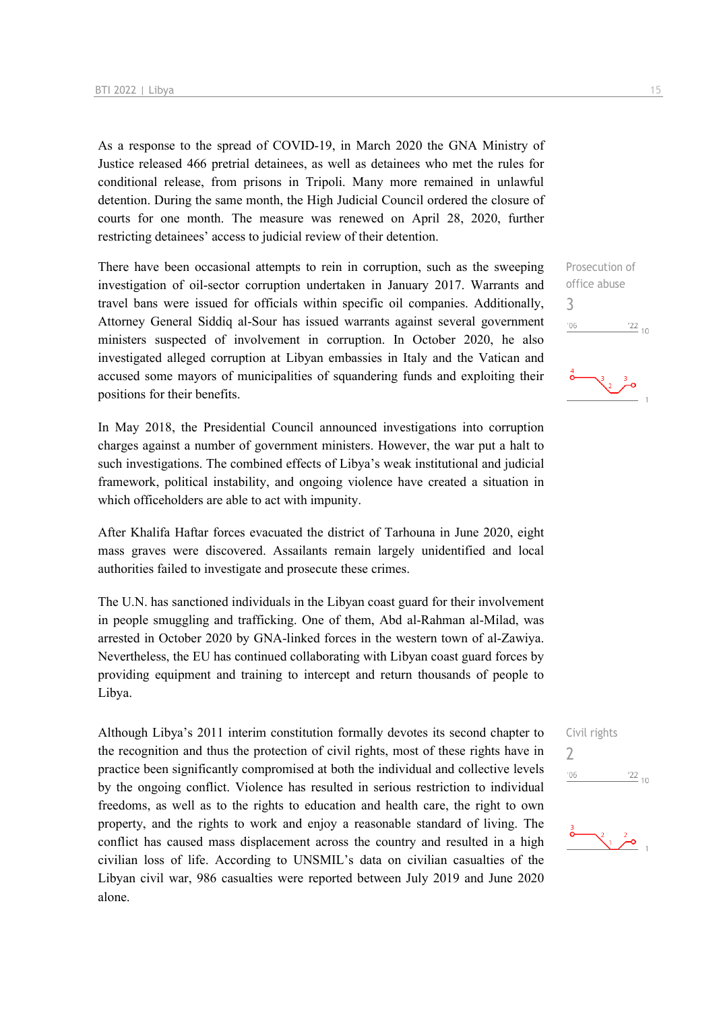As a response to the spread of COVID-19, in March 2020 the GNA Ministry of Justice released 466 pretrial detainees, as well as detainees who met the rules for conditional release, from prisons in Tripoli. Many more remained in unlawful detention. During the same month, the High Judicial Council ordered the closure of courts for one month. The measure was renewed on April 28, 2020, further restricting detainees' access to judicial review of their detention.

There have been occasional attempts to rein in corruption, such as the sweeping investigation of oil-sector corruption undertaken in January 2017. Warrants and travel bans were issued for officials within specific oil companies. Additionally, Attorney General Siddiq al-Sour has issued warrants against several government ministers suspected of involvement in corruption. In October 2020, he also investigated alleged corruption at Libyan embassies in Italy and the Vatican and accused some mayors of municipalities of squandering funds and exploiting their positions for their benefits.

In May 2018, the Presidential Council announced investigations into corruption charges against a number of government ministers. However, the war put a halt to such investigations. The combined effects of Libya's weak institutional and judicial framework, political instability, and ongoing violence have created a situation in which officeholders are able to act with impunity.

After Khalifa Haftar forces evacuated the district of Tarhouna in June 2020, eight mass graves were discovered. Assailants remain largely unidentified and local authorities failed to investigate and prosecute these crimes.

The U.N. has sanctioned individuals in the Libyan coast guard for their involvement in people smuggling and trafficking. One of them, Abd al-Rahman al-Milad, was arrested in October 2020 by GNA-linked forces in the western town of al-Zawiya. Nevertheless, the EU has continued collaborating with Libyan coast guard forces by providing equipment and training to intercept and return thousands of people to Libya.

Although Libya's 2011 interim constitution formally devotes its second chapter to the recognition and thus the protection of civil rights, most of these rights have in practice been significantly compromised at both the individual and collective levels by the ongoing conflict. Violence has resulted in serious restriction to individual freedoms, as well as to the rights to education and health care, the right to own property, and the rights to work and enjoy a reasonable standard of living. The conflict has caused mass displacement across the country and resulted in a high civilian loss of life. According to UNSMIL's data on civilian casualties of the Libyan civil war, 986 casualties were reported between July 2019 and June 2020 alone.

Prosecution of office abuse 3  $-06$  $\frac{22}{10}$ 



Civil rights 2



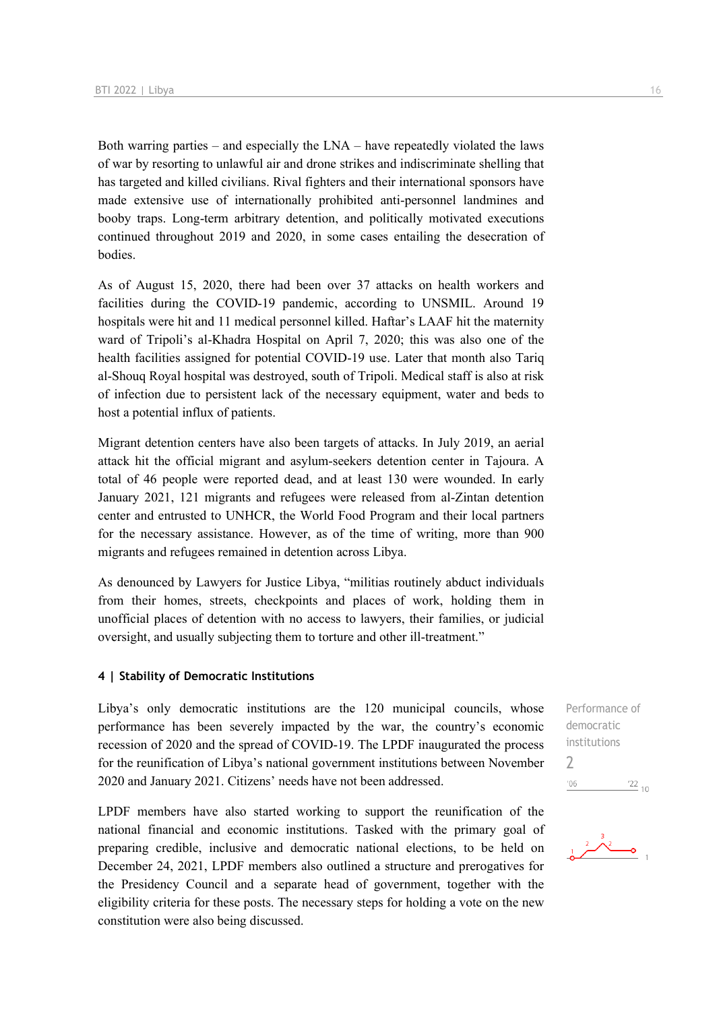Both warring parties – and especially the LNA – have repeatedly violated the laws of war by resorting to unlawful air and drone strikes and indiscriminate shelling that has targeted and killed civilians. Rival fighters and their international sponsors have made extensive use of internationally prohibited anti-personnel landmines and booby traps. Long-term arbitrary detention, and politically motivated executions continued throughout 2019 and 2020, in some cases entailing the desecration of bodies.

As of August 15, 2020, there had been over 37 attacks on health workers and facilities during the COVID-19 pandemic, according to UNSMIL. Around 19 hospitals were hit and 11 medical personnel killed. Haftar's LAAF hit the maternity ward of Tripoli's al-Khadra Hospital on April 7, 2020; this was also one of the health facilities assigned for potential COVID-19 use. Later that month also Tariq al-Shouq Royal hospital was destroyed, south of Tripoli. Medical staff is also at risk of infection due to persistent lack of the necessary equipment, water and beds to host a potential influx of patients.

Migrant detention centers have also been targets of attacks. In July 2019, an aerial attack hit the official migrant and asylum-seekers detention center in Tajoura. A total of 46 people were reported dead, and at least 130 were wounded. In early January 2021, 121 migrants and refugees were released from al-Zintan detention center and entrusted to UNHCR, the World Food Program and their local partners for the necessary assistance. However, as of the time of writing, more than 900 migrants and refugees remained in detention across Libya.

As denounced by Lawyers for Justice Libya, "militias routinely abduct individuals from their homes, streets, checkpoints and places of work, holding them in unofficial places of detention with no access to lawyers, their families, or judicial oversight, and usually subjecting them to torture and other ill-treatment."

#### **4 | Stability of Democratic Institutions**

Libya's only democratic institutions are the 120 municipal councils, whose performance has been severely impacted by the war, the country's economic recession of 2020 and the spread of COVID-19. The LPDF inaugurated the process for the reunification of Libya's national government institutions between November 2020 and January 2021. Citizens' needs have not been addressed.

LPDF members have also started working to support the reunification of the national financial and economic institutions. Tasked with the primary goal of preparing credible, inclusive and democratic national elections, to be held on December 24, 2021, LPDF members also outlined a structure and prerogatives for the Presidency Council and a separate head of government, together with the eligibility criteria for these posts. The necessary steps for holding a vote on the new constitution were also being discussed.

Performance of democratic institutions 2 $^{\prime}06$  $\frac{22}{10}$ 

 $2\lambda^2$  $\overline{\phantom{a}}$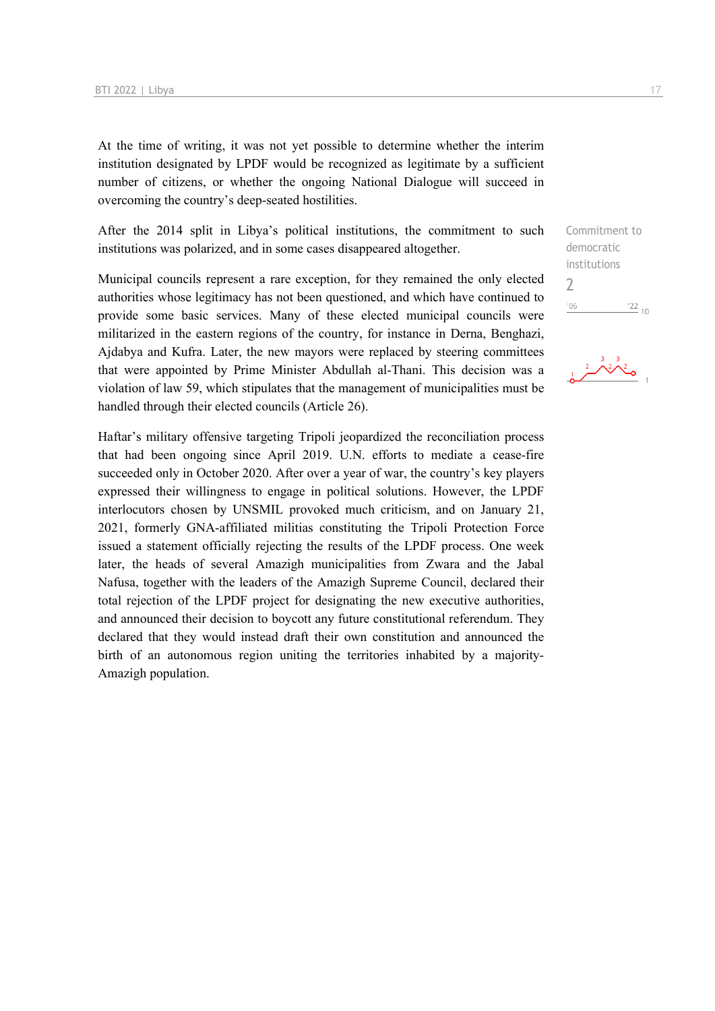At the time of writing, it was not yet possible to determine whether the interim institution designated by LPDF would be recognized as legitimate by a sufficient number of citizens, or whether the ongoing National Dialogue will succeed in overcoming the country's deep-seated hostilities.

After the 2014 split in Libya's political institutions, the commitment to such institutions was polarized, and in some cases disappeared altogether.

Municipal councils represent a rare exception, for they remained the only elected authorities whose legitimacy has not been questioned, and which have continued to provide some basic services. Many of these elected municipal councils were militarized in the eastern regions of the country, for instance in Derna, Benghazi, Ajdabya and Kufra. Later, the new mayors were replaced by steering committees that were appointed by Prime Minister Abdullah al-Thani. This decision was a violation of law 59, which stipulates that the management of municipalities must be handled through their elected councils (Article 26).

Haftar's military offensive targeting Tripoli jeopardized the reconciliation process that had been ongoing since April 2019. U.N. efforts to mediate a cease-fire succeeded only in October 2020. After over a year of war, the country's key players expressed their willingness to engage in political solutions. However, the LPDF interlocutors chosen by UNSMIL provoked much criticism, and on January 21, 2021, formerly GNA-affiliated militias constituting the Tripoli Protection Force issued a statement officially rejecting the results of the LPDF process. One week later, the heads of several Amazigh municipalities from Zwara and the Jabal Nafusa, together with the leaders of the Amazigh Supreme Council, declared their total rejection of the LPDF project for designating the new executive authorities, and announced their decision to boycott any future constitutional referendum. They declared that they would instead draft their own constitution and announced the birth of an autonomous region uniting the territories inhabited by a majority-Amazigh population.

Commitment to democratic institutions 2 $\frac{22}{10}$  $'06$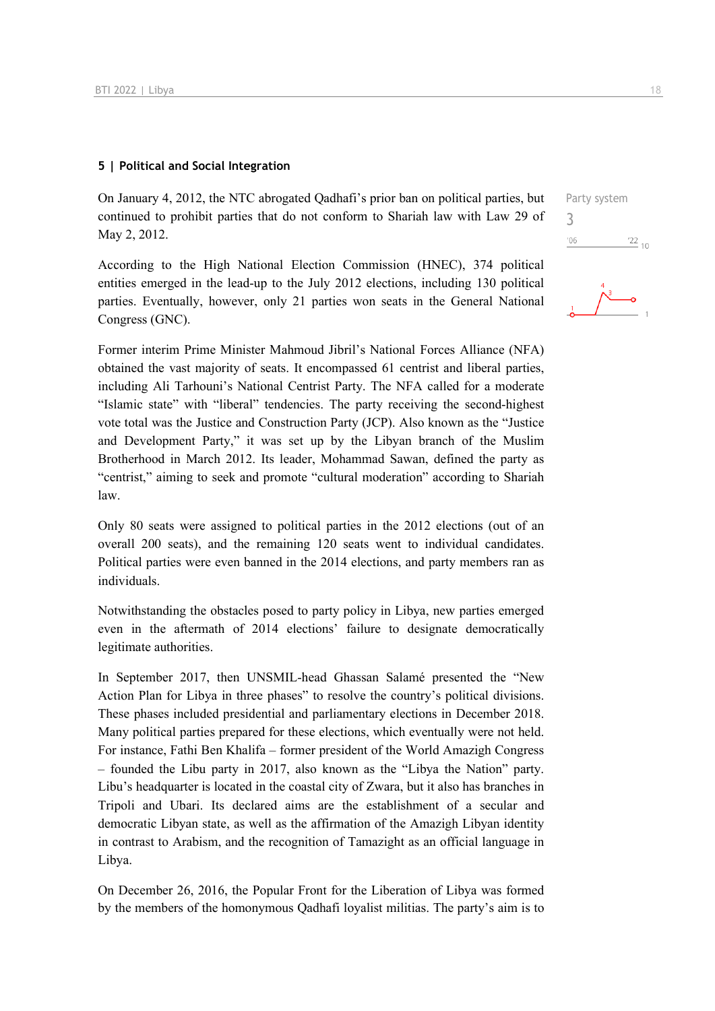#### **5 | Political and Social Integration**

On January 4, 2012, the NTC abrogated Qadhafi's prior ban on political parties, but continued to prohibit parties that do not conform to Shariah law with Law 29 of May 2, 2012.

According to the High National Election Commission (HNEC), 374 political entities emerged in the lead-up to the July 2012 elections, including 130 political parties. Eventually, however, only 21 parties won seats in the General National Congress (GNC).

Former interim Prime Minister Mahmoud Jibril's National Forces Alliance (NFA) obtained the vast majority of seats. It encompassed 61 centrist and liberal parties, including Ali Tarhouni's National Centrist Party. The NFA called for a moderate "Islamic state" with "liberal" tendencies. The party receiving the second-highest vote total was the Justice and Construction Party (JCP). Also known as the "Justice and Development Party," it was set up by the Libyan branch of the Muslim Brotherhood in March 2012. Its leader, Mohammad Sawan, defined the party as "centrist," aiming to seek and promote "cultural moderation" according to Shariah law.

Only 80 seats were assigned to political parties in the 2012 elections (out of an overall 200 seats), and the remaining 120 seats went to individual candidates. Political parties were even banned in the 2014 elections, and party members ran as individuals.

Notwithstanding the obstacles posed to party policy in Libya, new parties emerged even in the aftermath of 2014 elections' failure to designate democratically legitimate authorities.

In September 2017, then UNSMIL-head Ghassan Salamé presented the "New Action Plan for Libya in three phases" to resolve the country's political divisions. These phases included presidential and parliamentary elections in December 2018. Many political parties prepared for these elections, which eventually were not held. For instance, Fathi Ben Khalifa – former president of the World Amazigh Congress – founded the Libu party in 2017, also known as the "Libya the Nation" party. Libu's headquarter is located in the coastal city of Zwara, but it also has branches in Tripoli and Ubari. Its declared aims are the establishment of a secular and democratic Libyan state, as well as the affirmation of the Amazigh Libyan identity in contrast to Arabism, and the recognition of Tamazight as an official language in Libya.

On December 26, 2016, the Popular Front for the Liberation of Libya was formed by the members of the homonymous Qadhafi loyalist militias. The party's aim is to



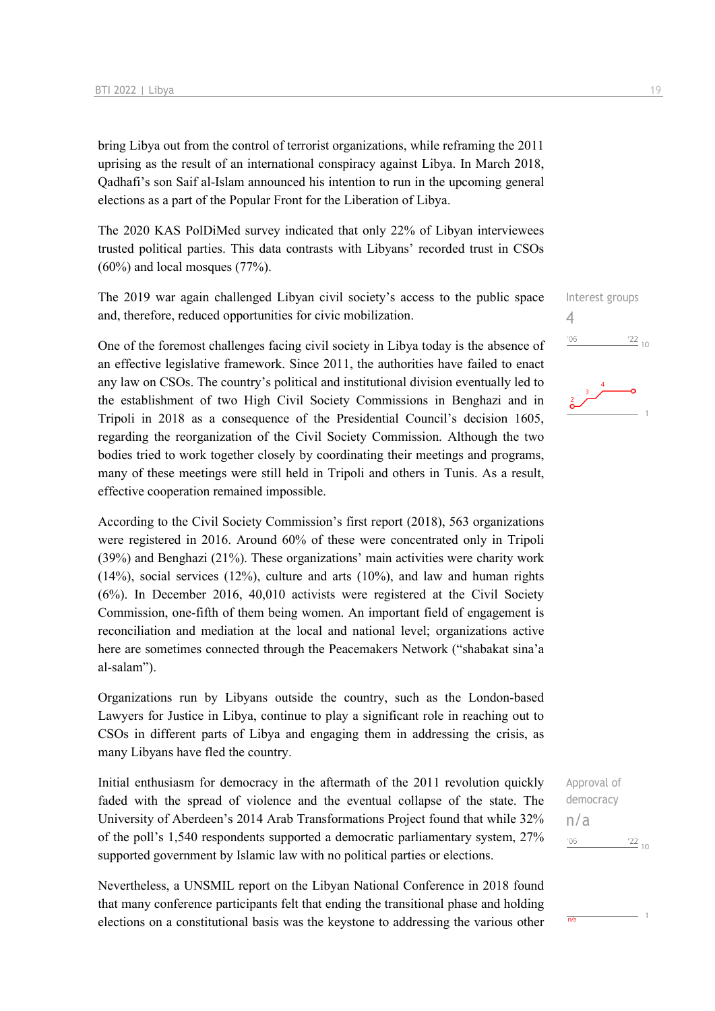bring Libya out from the control of terrorist organizations, while reframing the 2011 uprising as the result of an international conspiracy against Libya. In March 2018, Qadhafi's son Saif al-Islam announced his intention to run in the upcoming general elections as a part of the Popular Front for the Liberation of Libya.

The 2020 KAS PolDiMed survey indicated that only 22% of Libyan interviewees trusted political parties. This data contrasts with Libyans' recorded trust in CSOs (60%) and local mosques (77%).

The 2019 war again challenged Libyan civil society's access to the public space and, therefore, reduced opportunities for civic mobilization.

One of the foremost challenges facing civil society in Libya today is the absence of an effective legislative framework. Since 2011, the authorities have failed to enact any law on CSOs. The country's political and institutional division eventually led to the establishment of two High Civil Society Commissions in Benghazi and in Tripoli in 2018 as a consequence of the Presidential Council's decision 1605, regarding the reorganization of the Civil Society Commission. Although the two bodies tried to work together closely by coordinating their meetings and programs, many of these meetings were still held in Tripoli and others in Tunis. As a result, effective cooperation remained impossible.

According to the Civil Society Commission's first report (2018), 563 organizations were registered in 2016. Around 60% of these were concentrated only in Tripoli (39%) and Benghazi (21%). These organizations' main activities were charity work (14%), social services (12%), culture and arts (10%), and law and human rights (6%). In December 2016, 40,010 activists were registered at the Civil Society Commission, one-fifth of them being women. An important field of engagement is reconciliation and mediation at the local and national level; organizations active here are sometimes connected through the Peacemakers Network ("shabakat sina'a al-salam").

Organizations run by Libyans outside the country, such as the London-based Lawyers for Justice in Libya, continue to play a significant role in reaching out to CSOs in different parts of Libya and engaging them in addressing the crisis, as many Libyans have fled the country.

Initial enthusiasm for democracy in the aftermath of the 2011 revolution quickly faded with the spread of violence and the eventual collapse of the state. The University of Aberdeen's 2014 Arab Transformations Project found that while 32% of the poll's 1,540 respondents supported a democratic parliamentary system, 27% supported government by Islamic law with no political parties or elections.

Nevertheless, a UNSMIL report on the Libyan National Conference in 2018 found that many conference participants felt that ending the transitional phase and holding elections on a constitutional basis was the keystone to addressing the various other



Approval of democracy n/a $\frac{22}{10}$  $106$ 

 $\overline{n/a}$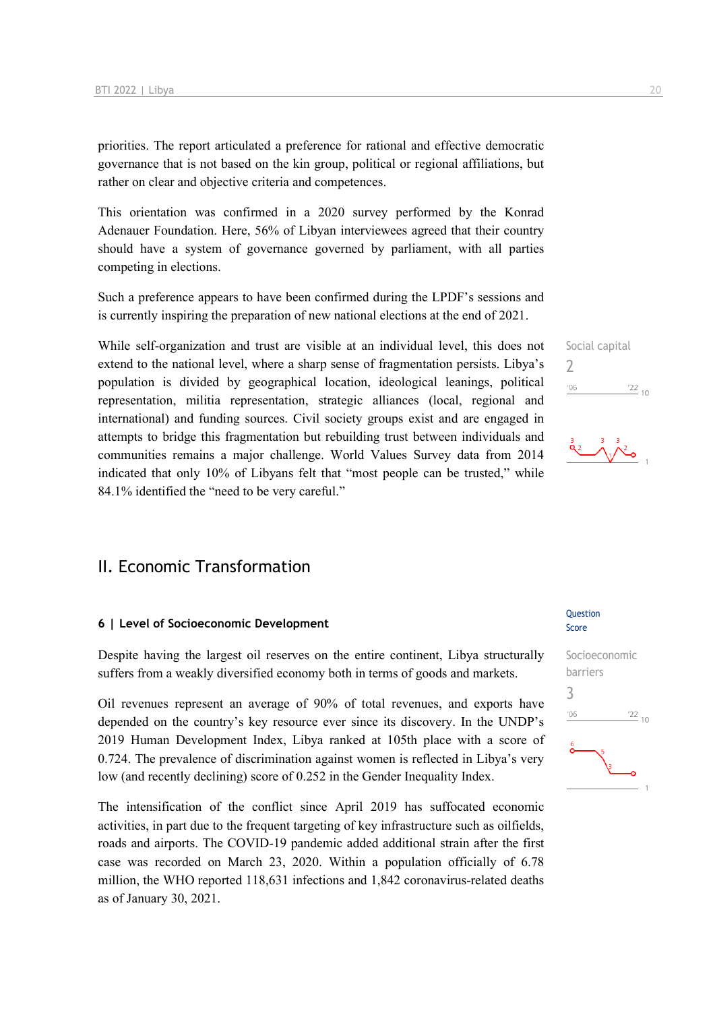priorities. The report articulated a preference for rational and effective democratic governance that is not based on the kin group, political or regional affiliations, but rather on clear and objective criteria and competences.

This orientation was confirmed in a 2020 survey performed by the Konrad Adenauer Foundation. Here, 56% of Libyan interviewees agreed that their country should have a system of governance governed by parliament, with all parties competing in elections.

Such a preference appears to have been confirmed during the LPDF's sessions and is currently inspiring the preparation of new national elections at the end of 2021.

While self-organization and trust are visible at an individual level, this does not extend to the national level, where a sharp sense of fragmentation persists. Libya's population is divided by geographical location, ideological leanings, political representation, militia representation, strategic alliances (local, regional and international) and funding sources. Civil society groups exist and are engaged in attempts to bridge this fragmentation but rebuilding trust between individuals and communities remains a major challenge. World Values Survey data from 2014 indicated that only 10% of Libyans felt that "most people can be trusted," while 84.1% identified the "need to be very careful."

## II. Economic Transformation

#### **6 | Level of Socioeconomic Development**

Despite having the largest oil reserves on the entire continent, Libya structurally suffers from a weakly diversified economy both in terms of goods and markets.

Oil revenues represent an average of 90% of total revenues, and exports have depended on the country's key resource ever since its discovery. In the UNDP's 2019 Human Development Index, Libya ranked at 105th place with a score of 0.724. The prevalence of discrimination against women is reflected in Libya's very low (and recently declining) score of 0.252 in the Gender Inequality Index.

The intensification of the conflict since April 2019 has suffocated economic activities, in part due to the frequent targeting of key infrastructure such as oilfields, roads and airports. The COVID-19 pandemic added additional strain after the first case was recorded on March 23, 2020. Within a population officially of 6.78 million, the WHO reported 118,631 infections and 1,842 coronavirus-related deaths as of January 30, 2021.

#### **Ouestion** Score



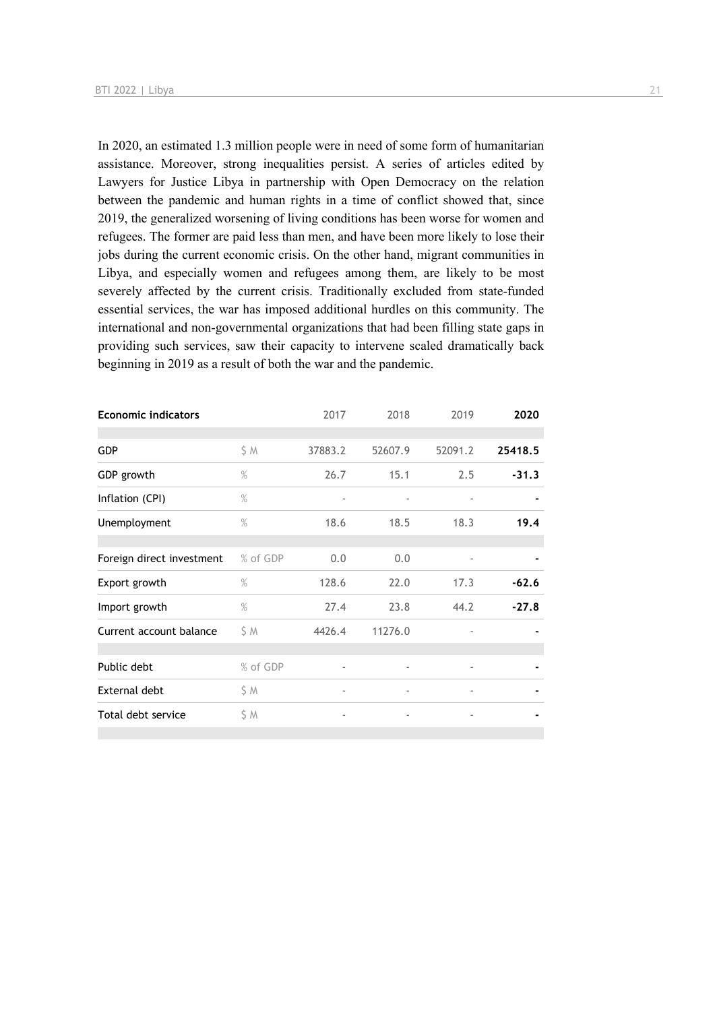In 2020, an estimated 1.3 million people were in need of some form of humanitarian assistance. Moreover, strong inequalities persist. A series of articles edited by Lawyers for Justice Libya in partnership with Open Democracy on the relation between the pandemic and human rights in a time of conflict showed that, since 2019, the generalized worsening of living conditions has been worse for women and refugees. The former are paid less than men, and have been more likely to lose their jobs during the current economic crisis. On the other hand, migrant communities in Libya, and especially women and refugees among them, are likely to be most severely affected by the current crisis. Traditionally excluded from state-funded essential services, the war has imposed additional hurdles on this community. The international and non-governmental organizations that had been filling state gaps in providing such services, saw their capacity to intervene scaled dramatically back beginning in 2019 as a result of both the war and the pandemic.

| <b>Economic indicators</b> |          | 2017                     | 2018                     | 2019                     | 2020    |
|----------------------------|----------|--------------------------|--------------------------|--------------------------|---------|
|                            |          |                          |                          |                          |         |
| <b>GDP</b>                 | \$ M     | 37883.2                  | 52607.9                  | 52091.2                  | 25418.5 |
| GDP growth                 | %        | 26.7                     | 15.1                     | 2.5                      | $-31.3$ |
| Inflation (CPI)            | $\%$     |                          |                          |                          |         |
| Unemployment               | $\%$     | 18.6                     | 18.5                     | 18.3                     | 19.4    |
|                            |          |                          |                          |                          |         |
| Foreign direct investment  | % of GDP | 0.0                      | 0.0                      |                          |         |
| Export growth              | $\%$     | 128.6                    | 22.0                     | 17.3                     | $-62.6$ |
| Import growth              | $\%$     | 27.4                     | 23.8                     | 44.2                     | $-27.8$ |
| Current account balance    | S M      | 4426.4                   | 11276.0                  |                          |         |
|                            |          |                          |                          |                          |         |
| Public debt                | % of GDP | $\overline{\phantom{m}}$ | $\overline{\phantom{a}}$ | $\overline{\phantom{a}}$ |         |
| External debt              | \$ M     | $\overline{\phantom{a}}$ | $\overline{\phantom{a}}$ | $\overline{\phantom{a}}$ |         |
| Total debt service         | \$ M     | $\overline{\phantom{a}}$ |                          |                          |         |
|                            |          |                          |                          |                          |         |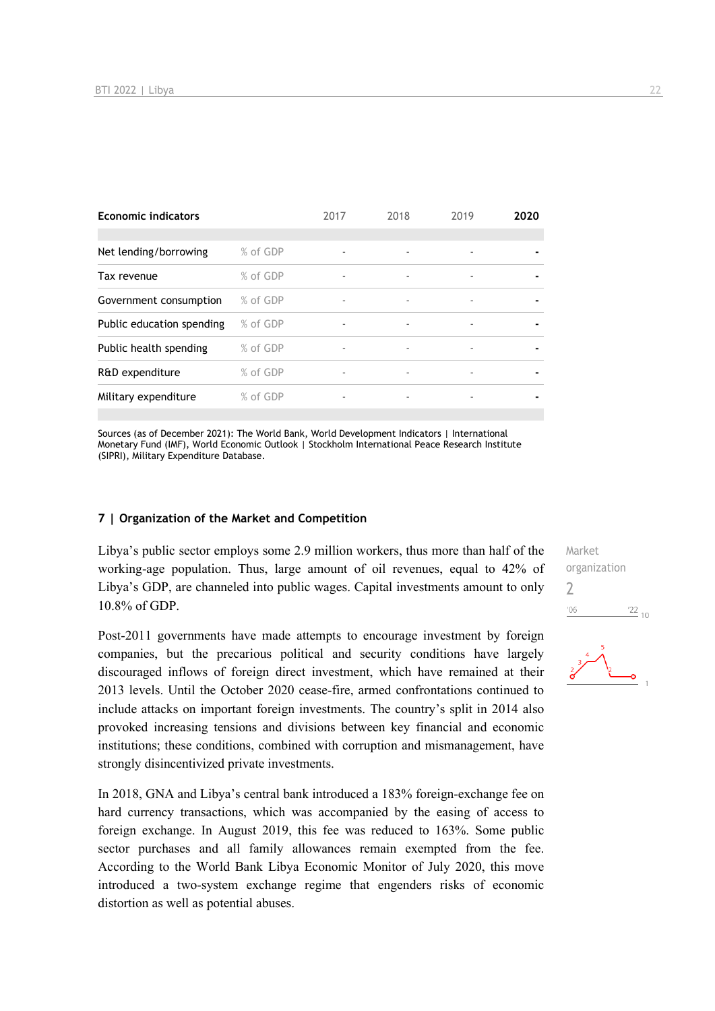| <b>Economic indicators</b> |          | 2017                     | 2018                     | 2019                     | 2020 |
|----------------------------|----------|--------------------------|--------------------------|--------------------------|------|
|                            |          |                          |                          |                          |      |
| Net lending/borrowing      | % of GDP | $\overline{\phantom{a}}$ |                          | $\overline{\phantom{a}}$ |      |
| Tax revenue                | % of GDP | ٠                        | $\overline{\phantom{a}}$ | $\overline{a}$           |      |
| Government consumption     | % of GDP | ٠                        |                          |                          |      |
| Public education spending  | % of GDP | ٠                        |                          | $\overline{a}$           |      |
| Public health spending     | % of GDP | ۰                        |                          |                          |      |
| R&D expenditure            | % of GDP | ٠                        | ٠                        | $\overline{\phantom{a}}$ |      |
| Military expenditure       | % of GDP |                          |                          |                          |      |

Sources (as of December 2021): The World Bank, World Development Indicators | International Monetary Fund (IMF), World Economic Outlook | Stockholm International Peace Research Institute (SIPRI), Military Expenditure Database.

#### **7 | Organization of the Market and Competition**

Libya's public sector employs some 2.9 million workers, thus more than half of the working-age population. Thus, large amount of oil revenues, equal to 42% of Libya's GDP, are channeled into public wages. Capital investments amount to only 10.8% of GDP.

Post-2011 governments have made attempts to encourage investment by foreign companies, but the precarious political and security conditions have largely discouraged inflows of foreign direct investment, which have remained at their 2013 levels. Until the October 2020 cease-fire, armed confrontations continued to include attacks on important foreign investments. The country's split in 2014 also provoked increasing tensions and divisions between key financial and economic institutions; these conditions, combined with corruption and mismanagement, have strongly disincentivized private investments.

In 2018, GNA and Libya's central bank introduced a 183% foreign-exchange fee on hard currency transactions, which was accompanied by the easing of access to foreign exchange. In August 2019, this fee was reduced to 163%. Some public sector purchases and all family allowances remain exempted from the fee. According to the World Bank Libya Economic Monitor of July 2020, this move introduced a two-system exchange regime that engenders risks of economic distortion as well as potential abuses.

Market organization  $\overline{\phantom{0}}$  $\frac{22}{10}$  $'06$ 

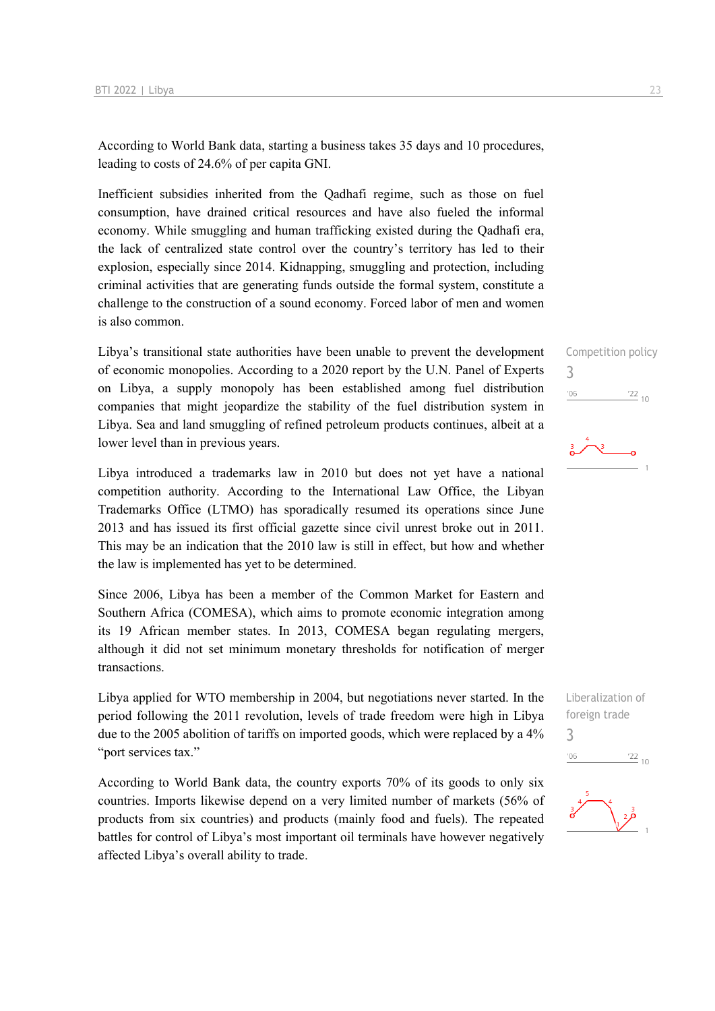According to World Bank data, starting a business takes 35 days and 10 procedures, leading to costs of 24.6% of per capita GNI.

Inefficient subsidies inherited from the Qadhafi regime, such as those on fuel consumption, have drained critical resources and have also fueled the informal economy. While smuggling and human trafficking existed during the Qadhafi era, the lack of centralized state control over the country's territory has led to their explosion, especially since 2014. Kidnapping, smuggling and protection, including criminal activities that are generating funds outside the formal system, constitute a challenge to the construction of a sound economy. Forced labor of men and women is also common.

Libya's transitional state authorities have been unable to prevent the development of economic monopolies. According to a 2020 report by the U.N. Panel of Experts on Libya, a supply monopoly has been established among fuel distribution companies that might jeopardize the stability of the fuel distribution system in Libya. Sea and land smuggling of refined petroleum products continues, albeit at a lower level than in previous years.

Libya introduced a trademarks law in 2010 but does not yet have a national competition authority. According to the International Law Office, the Libyan Trademarks Office (LTMO) has sporadically resumed its operations since June 2013 and has issued its first official gazette since civil unrest broke out in 2011. This may be an indication that the 2010 law is still in effect, but how and whether the law is implemented has yet to be determined.

Since 2006, Libya has been a member of the Common Market for Eastern and Southern Africa (COMESA), which aims to promote economic integration among its 19 African member states. In 2013, COMESA began regulating mergers, although it did not set minimum monetary thresholds for notification of merger transactions.

Libya applied for WTO membership in 2004, but negotiations never started. In the period following the 2011 revolution, levels of trade freedom were high in Libya due to the 2005 abolition of tariffs on imported goods, which were replaced by a 4% "port services tax."

According to World Bank data, the country exports 70% of its goods to only six countries. Imports likewise depend on a very limited number of markets (56% of products from six countries) and products (mainly food and fuels). The repeated battles for control of Libya's most important oil terminals have however negatively affected Libya's overall ability to trade.

Competition policy 3  $\frac{22}{10}$  $06'$ 





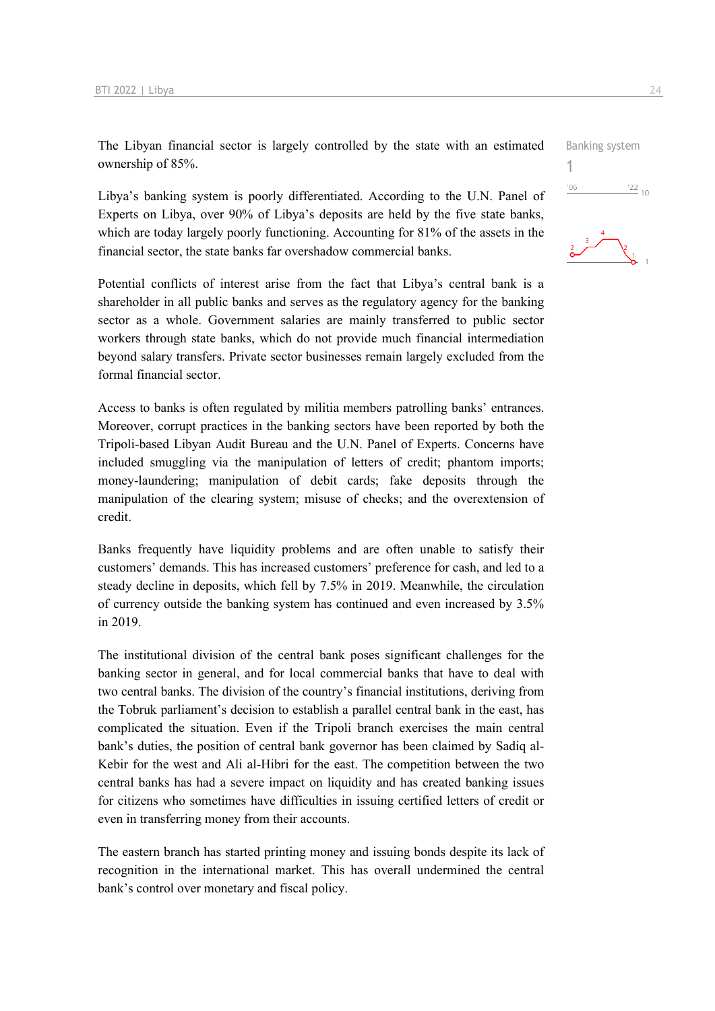The Libyan financial sector is largely controlled by the state with an estimated ownership of 85%.

Libya's banking system is poorly differentiated. According to the U.N. Panel of Experts on Libya, over 90% of Libya's deposits are held by the five state banks, which are today largely poorly functioning. Accounting for 81% of the assets in the financial sector, the state banks far overshadow commercial banks.

Potential conflicts of interest arise from the fact that Libya's central bank is a shareholder in all public banks and serves as the regulatory agency for the banking sector as a whole. Government salaries are mainly transferred to public sector workers through state banks, which do not provide much financial intermediation beyond salary transfers. Private sector businesses remain largely excluded from the formal financial sector.

Access to banks is often regulated by militia members patrolling banks' entrances. Moreover, corrupt practices in the banking sectors have been reported by both the Tripoli-based Libyan Audit Bureau and the U.N. Panel of Experts. Concerns have included smuggling via the manipulation of letters of credit; phantom imports; money-laundering; manipulation of debit cards; fake deposits through the manipulation of the clearing system; misuse of checks; and the overextension of credit.

Banks frequently have liquidity problems and are often unable to satisfy their customers' demands. This has increased customers' preference for cash, and led to a steady decline in deposits, which fell by 7.5% in 2019. Meanwhile, the circulation of currency outside the banking system has continued and even increased by 3.5% in 2019.

The institutional division of the central bank poses significant challenges for the banking sector in general, and for local commercial banks that have to deal with two central banks. The division of the country's financial institutions, deriving from the Tobruk parliament's decision to establish a parallel central bank in the east, has complicated the situation. Even if the Tripoli branch exercises the main central bank's duties, the position of central bank governor has been claimed by Sadiq al-Kebir for the west and Ali al-Hibri for the east. The competition between the two central banks has had a severe impact on liquidity and has created banking issues for citizens who sometimes have difficulties in issuing certified letters of credit or even in transferring money from their accounts.

The eastern branch has started printing money and issuing bonds despite its lack of recognition in the international market. This has overall undermined the central bank's control over monetary and fiscal policy.



Banking system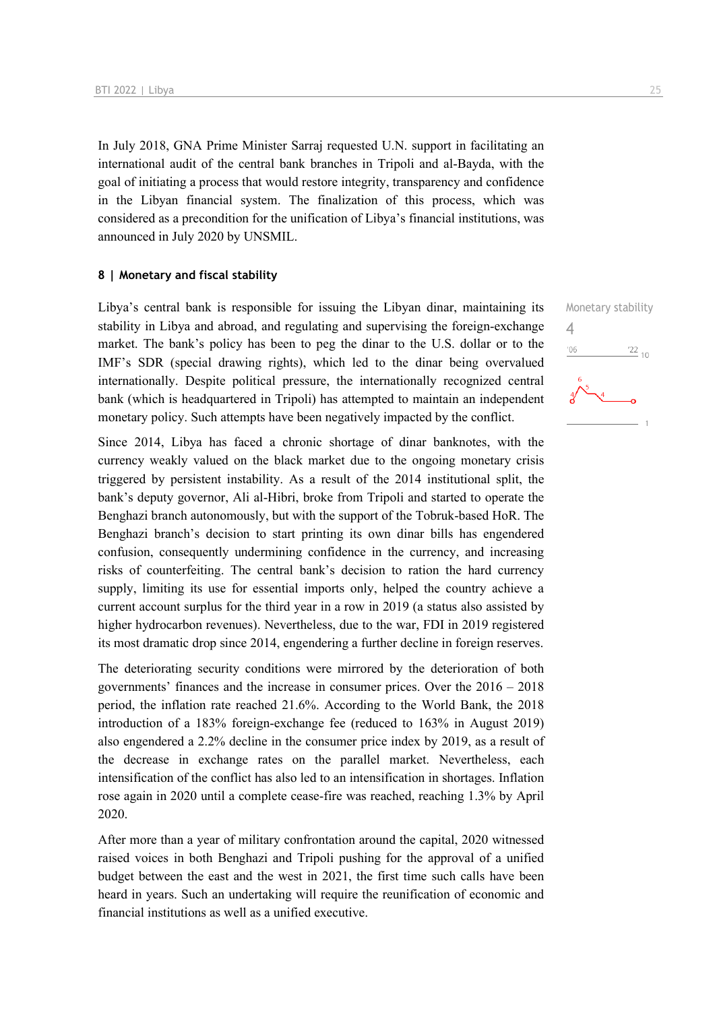In July 2018, GNA Prime Minister Sarraj requested U.N. support in facilitating an international audit of the central bank branches in Tripoli and al-Bayda, with the goal of initiating a process that would restore integrity, transparency and confidence in the Libyan financial system. The finalization of this process, which was considered as a precondition for the unification of Libya's financial institutions, was announced in July 2020 by UNSMIL.

#### **8 | Monetary and fiscal stability**

Libya's central bank is responsible for issuing the Libyan dinar, maintaining its stability in Libya and abroad, and regulating and supervising the foreign-exchange market. The bank's policy has been to peg the dinar to the U.S. dollar or to the IMF's SDR (special drawing rights), which led to the dinar being overvalued internationally. Despite political pressure, the internationally recognized central bank (which is headquartered in Tripoli) has attempted to maintain an independent monetary policy. Such attempts have been negatively impacted by the conflict.

Since 2014, Libya has faced a chronic shortage of dinar banknotes, with the currency weakly valued on the black market due to the ongoing monetary crisis triggered by persistent instability. As a result of the 2014 institutional split, the bank's deputy governor, Ali al-Hibri, broke from Tripoli and started to operate the Benghazi branch autonomously, but with the support of the Tobruk-based HoR. The Benghazi branch's decision to start printing its own dinar bills has engendered confusion, consequently undermining confidence in the currency, and increasing risks of counterfeiting. The central bank's decision to ration the hard currency supply, limiting its use for essential imports only, helped the country achieve a current account surplus for the third year in a row in 2019 (a status also assisted by higher hydrocarbon revenues). Nevertheless, due to the war, FDI in 2019 registered its most dramatic drop since 2014, engendering a further decline in foreign reserves.

The deteriorating security conditions were mirrored by the deterioration of both governments' finances and the increase in consumer prices. Over the 2016 – 2018 period, the inflation rate reached 21.6%. According to the World Bank, the 2018 introduction of a 183% foreign-exchange fee (reduced to 163% in August 2019) also engendered a 2.2% decline in the consumer price index by 2019, as a result of the decrease in exchange rates on the parallel market. Nevertheless, each intensification of the conflict has also led to an intensification in shortages. Inflation rose again in 2020 until a complete cease-fire was reached, reaching 1.3% by April 2020.

After more than a year of military confrontation around the capital, 2020 witnessed raised voices in both Benghazi and Tripoli pushing for the approval of a unified budget between the east and the west in 2021, the first time such calls have been heard in years. Such an undertaking will require the reunification of economic and financial institutions as well as a unified executive.

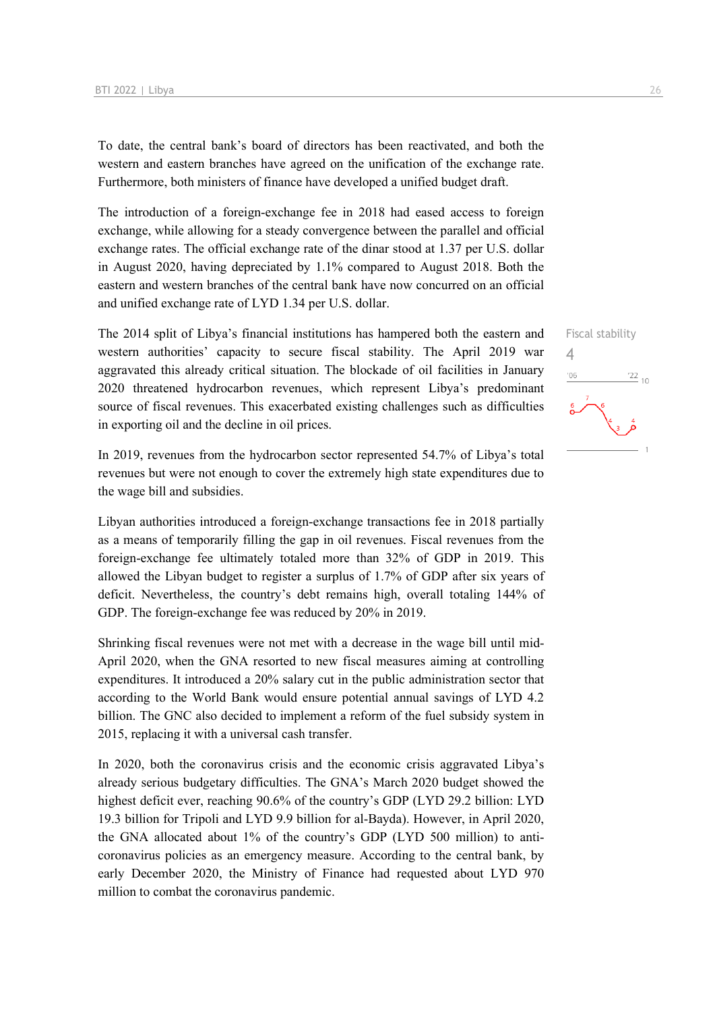To date, the central bank's board of directors has been reactivated, and both the western and eastern branches have agreed on the unification of the exchange rate. Furthermore, both ministers of finance have developed a unified budget draft.

The introduction of a foreign-exchange fee in 2018 had eased access to foreign exchange, while allowing for a steady convergence between the parallel and official exchange rates. The official exchange rate of the dinar stood at 1.37 per U.S. dollar in August 2020, having depreciated by 1.1% compared to August 2018. Both the eastern and western branches of the central bank have now concurred on an official and unified exchange rate of LYD 1.34 per U.S. dollar.

The 2014 split of Libya's financial institutions has hampered both the eastern and western authorities' capacity to secure fiscal stability. The April 2019 war aggravated this already critical situation. The blockade of oil facilities in January 2020 threatened hydrocarbon revenues, which represent Libya's predominant source of fiscal revenues. This exacerbated existing challenges such as difficulties in exporting oil and the decline in oil prices.

In 2019, revenues from the hydrocarbon sector represented 54.7% of Libya's total revenues but were not enough to cover the extremely high state expenditures due to the wage bill and subsidies.

Libyan authorities introduced a foreign-exchange transactions fee in 2018 partially as a means of temporarily filling the gap in oil revenues. Fiscal revenues from the foreign-exchange fee ultimately totaled more than 32% of GDP in 2019. This allowed the Libyan budget to register a surplus of 1.7% of GDP after six years of deficit. Nevertheless, the country's debt remains high, overall totaling 144% of GDP. The foreign-exchange fee was reduced by 20% in 2019.

Shrinking fiscal revenues were not met with a decrease in the wage bill until mid-April 2020, when the GNA resorted to new fiscal measures aiming at controlling expenditures. It introduced a 20% salary cut in the public administration sector that according to the World Bank would ensure potential annual savings of LYD 4.2 billion. The GNC also decided to implement a reform of the fuel subsidy system in 2015, replacing it with a universal cash transfer.

In 2020, both the coronavirus crisis and the economic crisis aggravated Libya's already serious budgetary difficulties. The GNA's March 2020 budget showed the highest deficit ever, reaching 90.6% of the country's GDP (LYD 29.2 billion: LYD 19.3 billion for Tripoli and LYD 9.9 billion for al-Bayda). However, in April 2020, the GNA allocated about 1% of the country's GDP (LYD 500 million) to anticoronavirus policies as an emergency measure. According to the central bank, by early December 2020, the Ministry of Finance had requested about LYD 970 million to combat the coronavirus pandemic.

 $\frac{1}{22}$  10

4

 $^{\prime}06$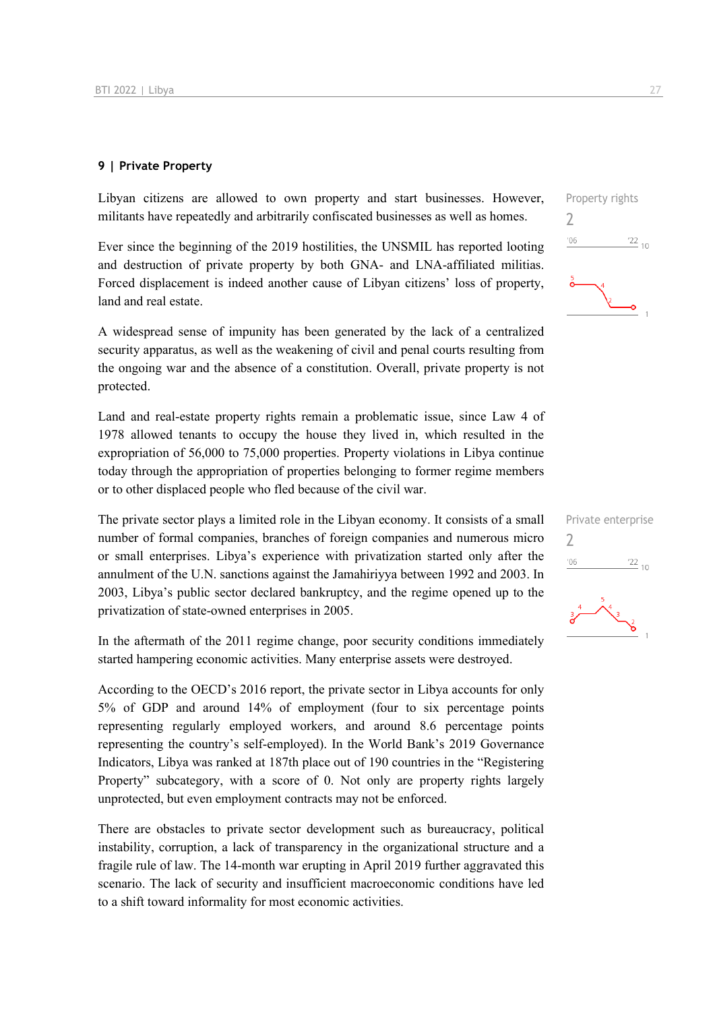#### **9 | Private Property**

Libyan citizens are allowed to own property and start businesses. However, militants have repeatedly and arbitrarily confiscated businesses as well as homes.

Ever since the beginning of the 2019 hostilities, the UNSMIL has reported looting and destruction of private property by both GNA- and LNA-affiliated militias. Forced displacement is indeed another cause of Libyan citizens' loss of property, land and real estate.

A widespread sense of impunity has been generated by the lack of a centralized security apparatus, as well as the weakening of civil and penal courts resulting from the ongoing war and the absence of a constitution. Overall, private property is not protected.

Land and real-estate property rights remain a problematic issue, since Law 4 of 1978 allowed tenants to occupy the house they lived in, which resulted in the expropriation of 56,000 to 75,000 properties. Property violations in Libya continue today through the appropriation of properties belonging to former regime members or to other displaced people who fled because of the civil war.

The private sector plays a limited role in the Libyan economy. It consists of a small number of formal companies, branches of foreign companies and numerous micro or small enterprises. Libya's experience with privatization started only after the annulment of the U.N. sanctions against the Jamahiriyya between 1992 and 2003. In 2003, Libya's public sector declared bankruptcy, and the regime opened up to the privatization of state-owned enterprises in 2005.

In the aftermath of the 2011 regime change, poor security conditions immediately started hampering economic activities. Many enterprise assets were destroyed.

According to the OECD's 2016 report, the private sector in Libya accounts for only 5% of GDP and around 14% of employment (four to six percentage points representing regularly employed workers, and around 8.6 percentage points representing the country's self-employed). In the World Bank's 2019 Governance Indicators, Libya was ranked at 187th place out of 190 countries in the "Registering Property" subcategory, with a score of 0. Not only are property rights largely unprotected, but even employment contracts may not be enforced.

There are obstacles to private sector development such as bureaucracy, political instability, corruption, a lack of transparency in the organizational structure and a fragile rule of law. The 14-month war erupting in April 2019 further aggravated this scenario. The lack of security and insufficient macroeconomic conditions have led to a shift toward informality for most economic activities.



|     | LIINALE EIITEI DI ISE |
|-----|-----------------------|
| '06 | $\stackrel{'}{=}$ 10  |
| å   | $\frac{2}{5}$         |

Private enterprise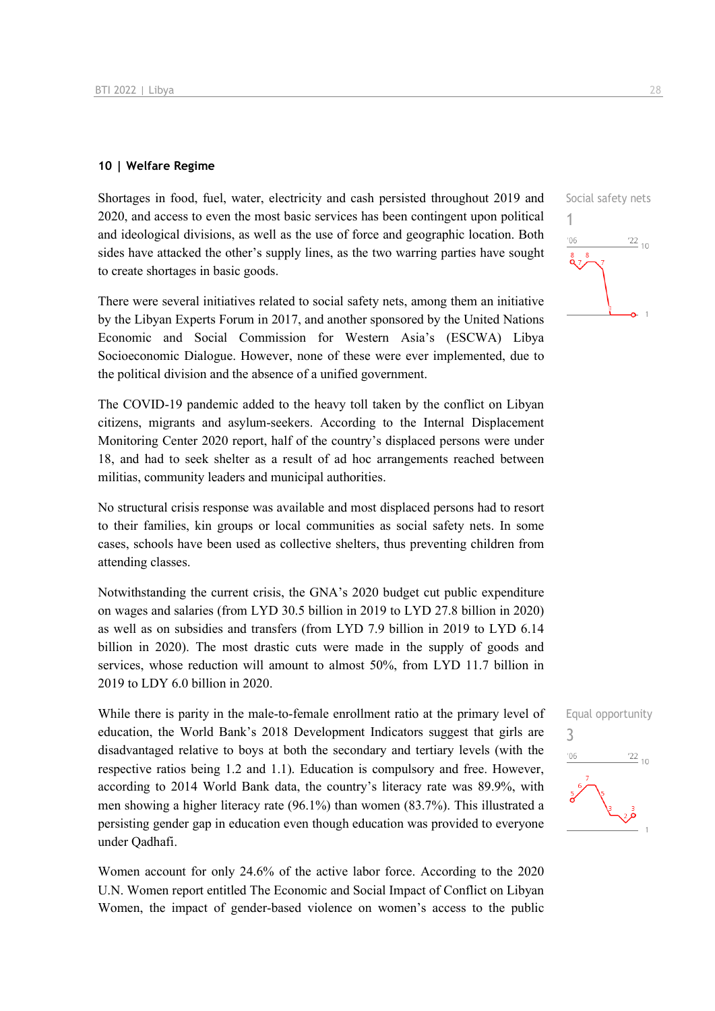#### **10 | Welfare Regime**

Shortages in food, fuel, water, electricity and cash persisted throughout 2019 and 2020, and access to even the most basic services has been contingent upon political and ideological divisions, as well as the use of force and geographic location. Both sides have attacked the other's supply lines, as the two warring parties have sought to create shortages in basic goods.

There were several initiatives related to social safety nets, among them an initiative by the Libyan Experts Forum in 2017, and another sponsored by the United Nations Economic and Social Commission for Western Asia's (ESCWA) Libya Socioeconomic Dialogue. However, none of these were ever implemented, due to the political division and the absence of a unified government.

The COVID-19 pandemic added to the heavy toll taken by the conflict on Libyan citizens, migrants and asylum-seekers. According to the Internal Displacement Monitoring Center 2020 report, half of the country's displaced persons were under 18, and had to seek shelter as a result of ad hoc arrangements reached between militias, community leaders and municipal authorities.

No structural crisis response was available and most displaced persons had to resort to their families, kin groups or local communities as social safety nets. In some cases, schools have been used as collective shelters, thus preventing children from attending classes.

Notwithstanding the current crisis, the GNA's 2020 budget cut public expenditure on wages and salaries (from LYD 30.5 billion in 2019 to LYD 27.8 billion in 2020) as well as on subsidies and transfers (from LYD 7.9 billion in 2019 to LYD 6.14 billion in 2020). The most drastic cuts were made in the supply of goods and services, whose reduction will amount to almost 50%, from LYD 11.7 billion in 2019 to LDY 6.0 billion in 2020.

While there is parity in the male-to-female enrollment ratio at the primary level of education, the World Bank's 2018 Development Indicators suggest that girls are disadvantaged relative to boys at both the secondary and tertiary levels (with the respective ratios being 1.2 and 1.1). Education is compulsory and free. However, according to 2014 World Bank data, the country's literacy rate was 89.9%, with men showing a higher literacy rate (96.1%) than women (83.7%). This illustrated a persisting gender gap in education even though education was provided to everyone under Qadhafi.

Women account for only 24.6% of the active labor force. According to the 2020 U.N. Women report entitled The Economic and Social Impact of Conflict on Libyan Women, the impact of gender-based violence on women's access to the public 1

 $^{\prime}06$ 

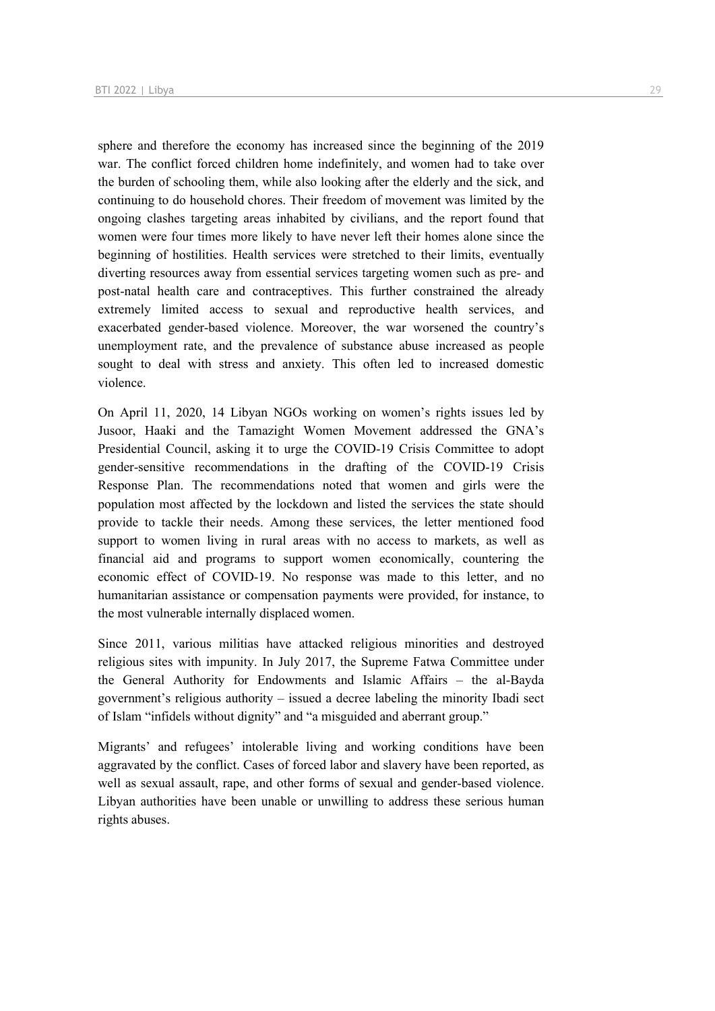sphere and therefore the economy has increased since the beginning of the 2019 war. The conflict forced children home indefinitely, and women had to take over the burden of schooling them, while also looking after the elderly and the sick, and continuing to do household chores. Their freedom of movement was limited by the ongoing clashes targeting areas inhabited by civilians, and the report found that women were four times more likely to have never left their homes alone since the beginning of hostilities. Health services were stretched to their limits, eventually diverting resources away from essential services targeting women such as pre- and post-natal health care and contraceptives. This further constrained the already extremely limited access to sexual and reproductive health services, and exacerbated gender-based violence. Moreover, the war worsened the country's unemployment rate, and the prevalence of substance abuse increased as people sought to deal with stress and anxiety. This often led to increased domestic violence.

On April 11, 2020, 14 Libyan NGOs working on women's rights issues led by Jusoor, Haaki and the Tamazight Women Movement addressed the GNA's Presidential Council, asking it to urge the COVID-19 Crisis Committee to adopt gender-sensitive recommendations in the drafting of the COVID-19 Crisis Response Plan. The recommendations noted that women and girls were the population most affected by the lockdown and listed the services the state should provide to tackle their needs. Among these services, the letter mentioned food support to women living in rural areas with no access to markets, as well as financial aid and programs to support women economically, countering the economic effect of COVID-19. No response was made to this letter, and no humanitarian assistance or compensation payments were provided, for instance, to the most vulnerable internally displaced women.

Since 2011, various militias have attacked religious minorities and destroyed religious sites with impunity. In July 2017, the Supreme Fatwa Committee under the General Authority for Endowments and Islamic Affairs – the al-Bayda government's religious authority – issued a decree labeling the minority Ibadi sect of Islam "infidels without dignity" and "a misguided and aberrant group."

Migrants' and refugees' intolerable living and working conditions have been aggravated by the conflict. Cases of forced labor and slavery have been reported, as well as sexual assault, rape, and other forms of sexual and gender-based violence. Libyan authorities have been unable or unwilling to address these serious human rights abuses.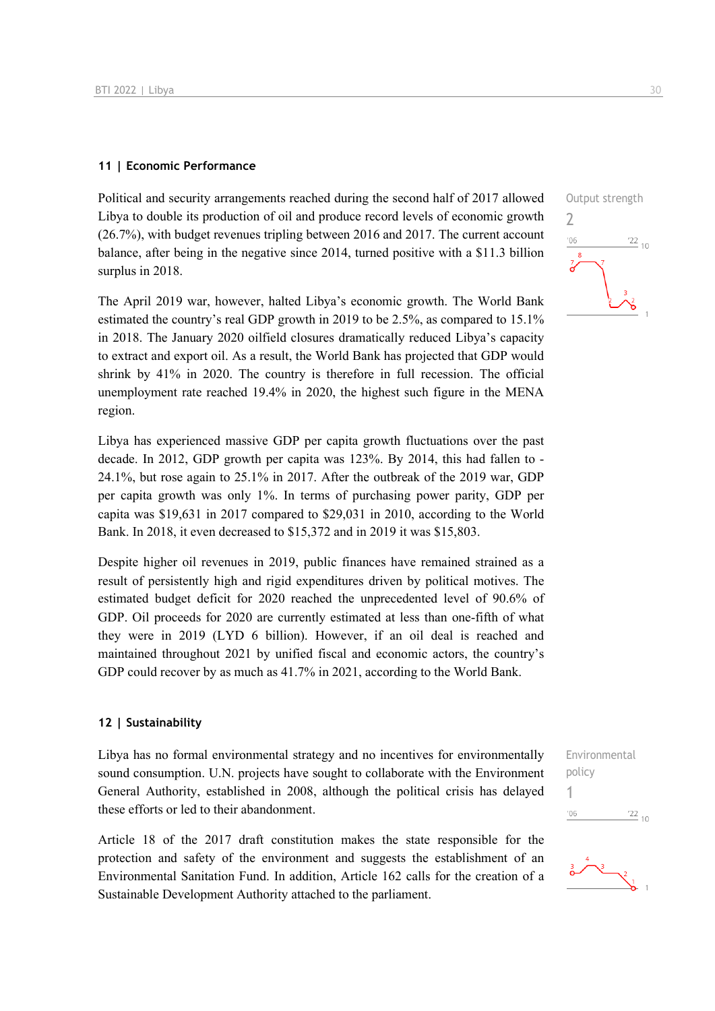#### **11 | Economic Performance**

Political and security arrangements reached during the second half of 2017 allowed Libya to double its production of oil and produce record levels of economic growth (26.7%), with budget revenues tripling between 2016 and 2017. The current account balance, after being in the negative since 2014, turned positive with a \$11.3 billion surplus in 2018.

The April 2019 war, however, halted Libya's economic growth. The World Bank estimated the country's real GDP growth in 2019 to be 2.5%, as compared to 15.1% in 2018. The January 2020 oilfield closures dramatically reduced Libya's capacity to extract and export oil. As a result, the World Bank has projected that GDP would shrink by 41% in 2020. The country is therefore in full recession. The official unemployment rate reached 19.4% in 2020, the highest such figure in the MENA region.

Libya has experienced massive GDP per capita growth fluctuations over the past decade. In 2012, GDP growth per capita was 123%. By 2014, this had fallen to - 24.1%, but rose again to 25.1% in 2017. After the outbreak of the 2019 war, GDP per capita growth was only 1%. In terms of purchasing power parity, GDP per capita was \$19,631 in 2017 compared to \$29,031 in 2010, according to the World Bank. In 2018, it even decreased to \$15,372 and in 2019 it was \$15,803.

Despite higher oil revenues in 2019, public finances have remained strained as a result of persistently high and rigid expenditures driven by political motives. The estimated budget deficit for 2020 reached the unprecedented level of 90.6% of GDP. Oil proceeds for 2020 are currently estimated at less than one-fifth of what they were in 2019 (LYD 6 billion). However, if an oil deal is reached and maintained throughout 2021 by unified fiscal and economic actors, the country's GDP could recover by as much as 41.7% in 2021, according to the World Bank.

#### **12 | Sustainability**

Libya has no formal environmental strategy and no incentives for environmentally sound consumption. U.N. projects have sought to collaborate with the Environment General Authority, established in 2008, although the political crisis has delayed these efforts or led to their abandonment.

Article 18 of the 2017 draft constitution makes the state responsible for the protection and safety of the environment and suggests the establishment of an Environmental Sanitation Fund. In addition, Article 162 calls for the creation of a Sustainable Development Authority attached to the parliament.





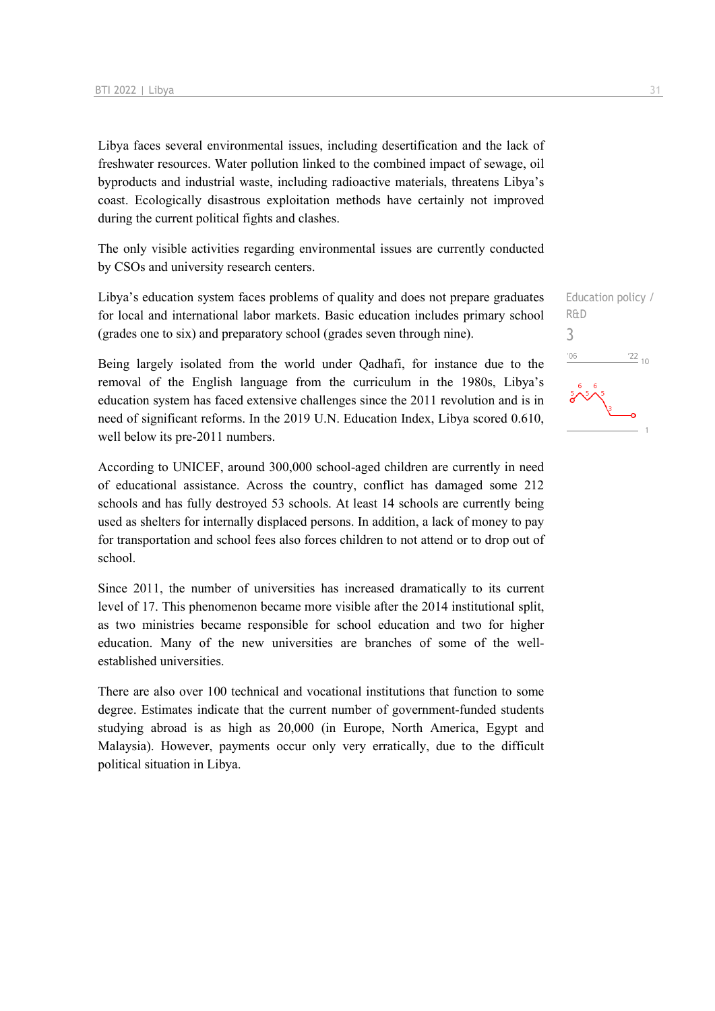Libya faces several environmental issues, including desertification and the lack of freshwater resources. Water pollution linked to the combined impact of sewage, oil byproducts and industrial waste, including radioactive materials, threatens Libya's coast. Ecologically disastrous exploitation methods have certainly not improved during the current political fights and clashes.

The only visible activities regarding environmental issues are currently conducted by CSOs and university research centers.

Libya's education system faces problems of quality and does not prepare graduates for local and international labor markets. Basic education includes primary school (grades one to six) and preparatory school (grades seven through nine).

Being largely isolated from the world under Qadhafi, for instance due to the removal of the English language from the curriculum in the 1980s, Libya's education system has faced extensive challenges since the 2011 revolution and is in need of significant reforms. In the 2019 U.N. Education Index, Libya scored 0.610, well below its pre-2011 numbers.

According to UNICEF, around 300,000 school-aged children are currently in need of educational assistance. Across the country, conflict has damaged some 212 schools and has fully destroyed 53 schools. At least 14 schools are currently being used as shelters for internally displaced persons. In addition, a lack of money to pay for transportation and school fees also forces children to not attend or to drop out of school.

Since 2011, the number of universities has increased dramatically to its current level of 17. This phenomenon became more visible after the 2014 institutional split, as two ministries became responsible for school education and two for higher education. Many of the new universities are branches of some of the wellestablished universities.

There are also over 100 technical and vocational institutions that function to some degree. Estimates indicate that the current number of government-funded students studying abroad is as high as 20,000 (in Europe, North America, Egypt and Malaysia). However, payments occur only very erratically, due to the difficult political situation in Libya.

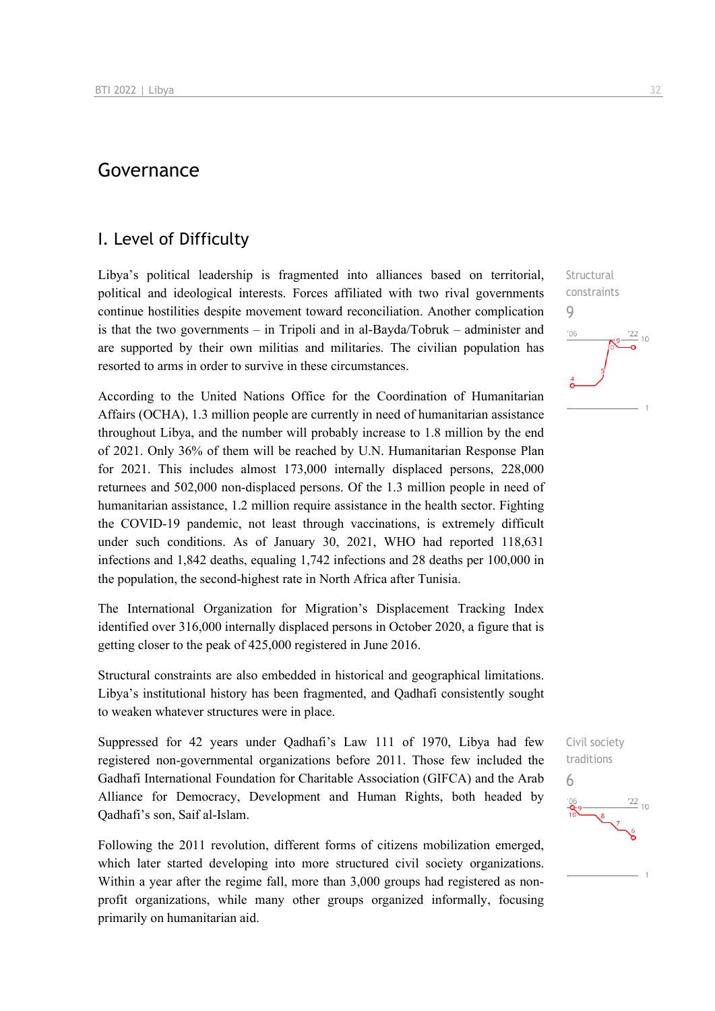## Governance

## I. Level of Difficulty

Libya's political leadership is fragmented into alliances based on territorial, political and ideological interests. Forces affiliated with two rival governments continue hostilities despite movement toward reconciliation. Another complication is that the two governments – in Tripoli and in al-Bayda/Tobruk – administer and are supported by their own militias and militaries. The civilian population has resorted to arms in order to survive in these circumstances.

According to the United Nations Office for the Coordination of Humanitarian Affairs (OCHA), 1.3 million people are currently in need of humanitarian assistance throughout Libya, and the number will probably increase to 1.8 million by the end of 2021. Only 36% of them will be reached by U.N. Humanitarian Response Plan for 2021. This includes almost 173,000 internally displaced persons, 228,000 returnees and 502,000 non-displaced persons. Of the 1.3 million people in need of humanitarian assistance, 1.2 million require assistance in the health sector. Fighting the COVID-19 pandemic, not least through vaccinations, is extremely difficult under such conditions. As of January 30, 2021, WHO had reported 118,631 infections and 1,842 deaths, equaling 1,742 infections and 28 deaths per 100,000 in the population, the second-highest rate in North Africa after Tunisia.

The International Organization for Migration's Displacement Tracking Index identified over 316,000 internally displaced persons in October 2020, a figure that is getting closer to the peak of 425,000 registered in June 2016.

Structural constraints are also embedded in historical and geographical limitations. Libya's institutional history has been fragmented, and Qadhafi consistently sought to weaken whatever structures were in place.

Suppressed for 42 years under Qadhafi's Law 111 of 1970, Libya had few registered non-governmental organizations before 2011. Those few included the Gadhafi International Foundation for Charitable Association (GIFCA) and the Arab Alliance for Democracy, Development and Human Rights, both headed by Qadhafi's son, Saif al-Islam.

Following the 2011 revolution, different forms of citizens mobilization emerged, which later started developing into more structured civil society organizations. Within a year after the regime fall, more than 3,000 groups had registered as nonprofit organizations, while many other groups organized informally, focusing primarily on humanitarian aid.

**Structural** constraints 9  $\frac{22}{10}$  $^{\prime}06$ 

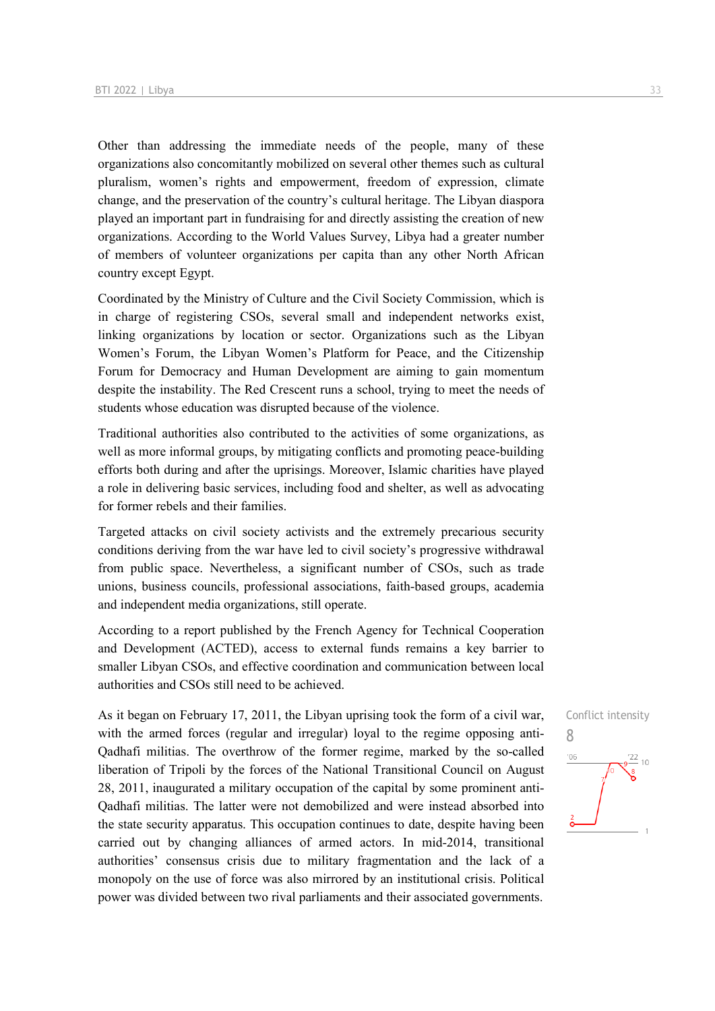Other than addressing the immediate needs of the people, many of these organizations also concomitantly mobilized on several other themes such as cultural pluralism, women's rights and empowerment, freedom of expression, climate change, and the preservation of the country's cultural heritage. The Libyan diaspora played an important part in fundraising for and directly assisting the creation of new organizations. According to the World Values Survey, Libya had a greater number of members of volunteer organizations per capita than any other North African country except Egypt.

Coordinated by the Ministry of Culture and the Civil Society Commission, which is in charge of registering CSOs, several small and independent networks exist, linking organizations by location or sector. Organizations such as the Libyan Women's Forum, the Libyan Women's Platform for Peace, and the Citizenship Forum for Democracy and Human Development are aiming to gain momentum despite the instability. The Red Crescent runs a school, trying to meet the needs of students whose education was disrupted because of the violence.

Traditional authorities also contributed to the activities of some organizations, as well as more informal groups, by mitigating conflicts and promoting peace-building efforts both during and after the uprisings. Moreover, Islamic charities have played a role in delivering basic services, including food and shelter, as well as advocating for former rebels and their families.

Targeted attacks on civil society activists and the extremely precarious security conditions deriving from the war have led to civil society's progressive withdrawal from public space. Nevertheless, a significant number of CSOs, such as trade unions, business councils, professional associations, faith-based groups, academia and independent media organizations, still operate.

According to a report published by the French Agency for Technical Cooperation and Development (ACTED), access to external funds remains a key barrier to smaller Libyan CSOs, and effective coordination and communication between local authorities and CSOs still need to be achieved.

As it began on February 17, 2011, the Libyan uprising took the form of a civil war, with the armed forces (regular and irregular) loyal to the regime opposing anti-Qadhafi militias. The overthrow of the former regime, marked by the so-called liberation of Tripoli by the forces of the National Transitional Council on August 28, 2011, inaugurated a military occupation of the capital by some prominent anti-Qadhafi militias. The latter were not demobilized and were instead absorbed into the state security apparatus. This occupation continues to date, despite having been carried out by changing alliances of armed actors. In mid-2014, transitional authorities' consensus crisis due to military fragmentation and the lack of a monopoly on the use of force was also mirrored by an institutional crisis. Political power was divided between two rival parliaments and their associated governments.

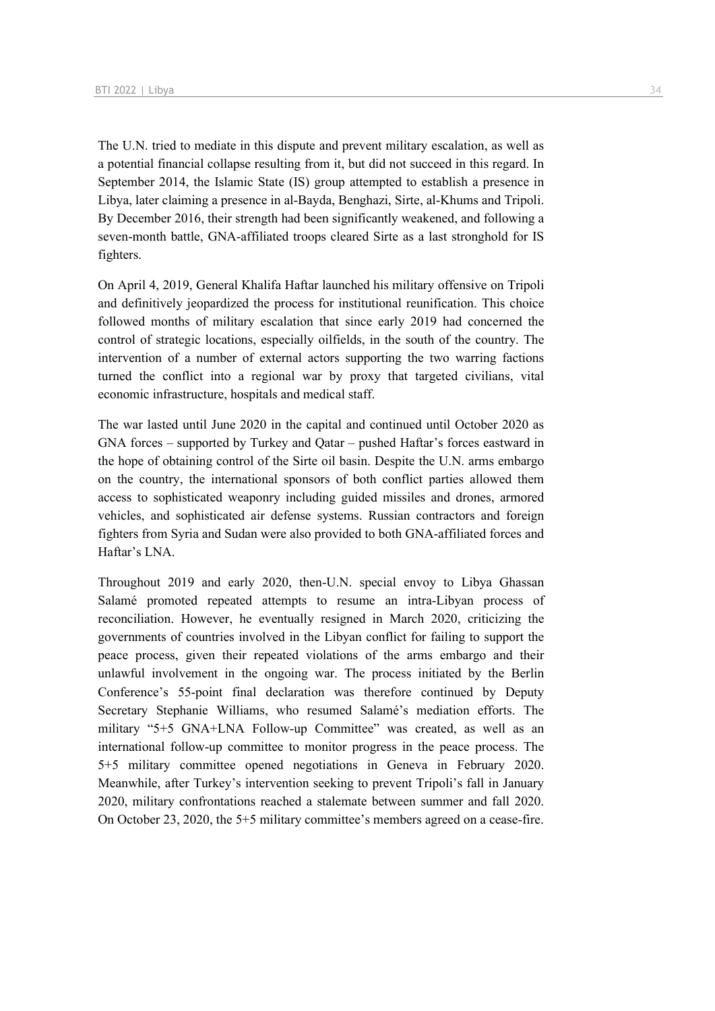The U.N. tried to mediate in this dispute and prevent military escalation, as well as a potential financial collapse resulting from it, but did not succeed in this regard. In September 2014, the Islamic State (IS) group attempted to establish a presence in Libya, later claiming a presence in al-Bayda, Benghazi, Sirte, al-Khums and Tripoli. By December 2016, their strength had been significantly weakened, and following a seven-month battle, GNA-affiliated troops cleared Sirte as a last stronghold for IS fighters.

On April 4, 2019, General Khalifa Haftar launched his military offensive on Tripoli and definitively jeopardized the process for institutional reunification. This choice followed months of military escalation that since early 2019 had concerned the control of strategic locations, especially oilfields, in the south of the country. The intervention of a number of external actors supporting the two warring factions turned the conflict into a regional war by proxy that targeted civilians, vital economic infrastructure, hospitals and medical staff.

The war lasted until June 2020 in the capital and continued until October 2020 as GNA forces – supported by Turkey and Qatar – pushed Haftar's forces eastward in the hope of obtaining control of the Sirte oil basin. Despite the U.N. arms embargo on the country, the international sponsors of both conflict parties allowed them access to sophisticated weaponry including guided missiles and drones, armored vehicles, and sophisticated air defense systems. Russian contractors and foreign fighters from Syria and Sudan were also provided to both GNA-affiliated forces and Haftar's LNA.

Throughout 2019 and early 2020, then-U.N. special envoy to Libya Ghassan Salamé promoted repeated attempts to resume an intra-Libyan process of reconciliation. However, he eventually resigned in March 2020, criticizing the governments of countries involved in the Libyan conflict for failing to support the peace process, given their repeated violations of the arms embargo and their unlawful involvement in the ongoing war. The process initiated by the Berlin Conference's 55-point final declaration was therefore continued by Deputy Secretary Stephanie Williams, who resumed Salamé's mediation efforts. The military "5+5 GNA+LNA Follow-up Committee" was created, as well as an international follow-up committee to monitor progress in the peace process. The 5+5 military committee opened negotiations in Geneva in February 2020. Meanwhile, after Turkey's intervention seeking to prevent Tripoli's fall in January 2020, military confrontations reached a stalemate between summer and fall 2020. On October 23, 2020, the 5+5 military committee's members agreed on a cease-fire.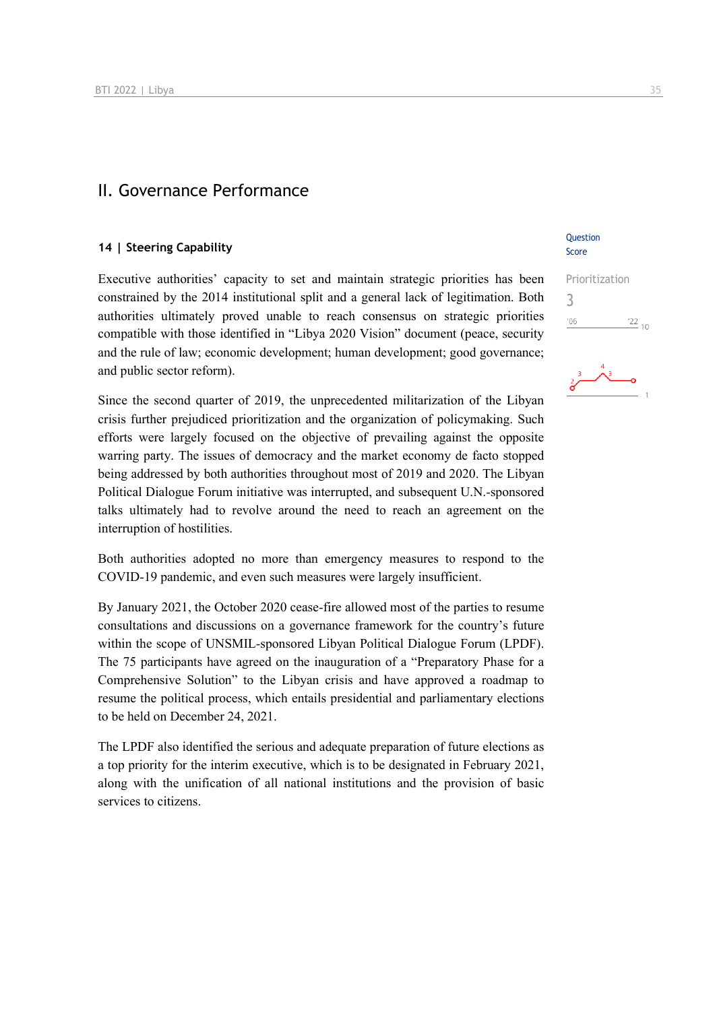### II. Governance Performance

#### **14 | Steering Capability**

Executive authorities' capacity to set and maintain strategic priorities has been constrained by the 2014 institutional split and a general lack of legitimation. Both authorities ultimately proved unable to reach consensus on strategic priorities compatible with those identified in "Libya 2020 Vision" document (peace, security and the rule of law; economic development; human development; good governance; and public sector reform).

Since the second quarter of 2019, the unprecedented militarization of the Libyan crisis further prejudiced prioritization and the organization of policymaking. Such efforts were largely focused on the objective of prevailing against the opposite warring party. The issues of democracy and the market economy de facto stopped being addressed by both authorities throughout most of 2019 and 2020. The Libyan Political Dialogue Forum initiative was interrupted, and subsequent U.N.-sponsored talks ultimately had to revolve around the need to reach an agreement on the interruption of hostilities.

Both authorities adopted no more than emergency measures to respond to the COVID-19 pandemic, and even such measures were largely insufficient.

By January 2021, the October 2020 cease-fire allowed most of the parties to resume consultations and discussions on a governance framework for the country's future within the scope of UNSMIL-sponsored Libyan Political Dialogue Forum (LPDF). The 75 participants have agreed on the inauguration of a "Preparatory Phase for a Comprehensive Solution" to the Libyan crisis and have approved a roadmap to resume the political process, which entails presidential and parliamentary elections to be held on December 24, 2021.

The LPDF also identified the serious and adequate preparation of future elections as a top priority for the interim executive, which is to be designated in February 2021, along with the unification of all national institutions and the provision of basic services to citizens.

#### **Ouestion** Score

| Prioritization |            |
|----------------|------------|
|                |            |
| '06            | $122_{10}$ |

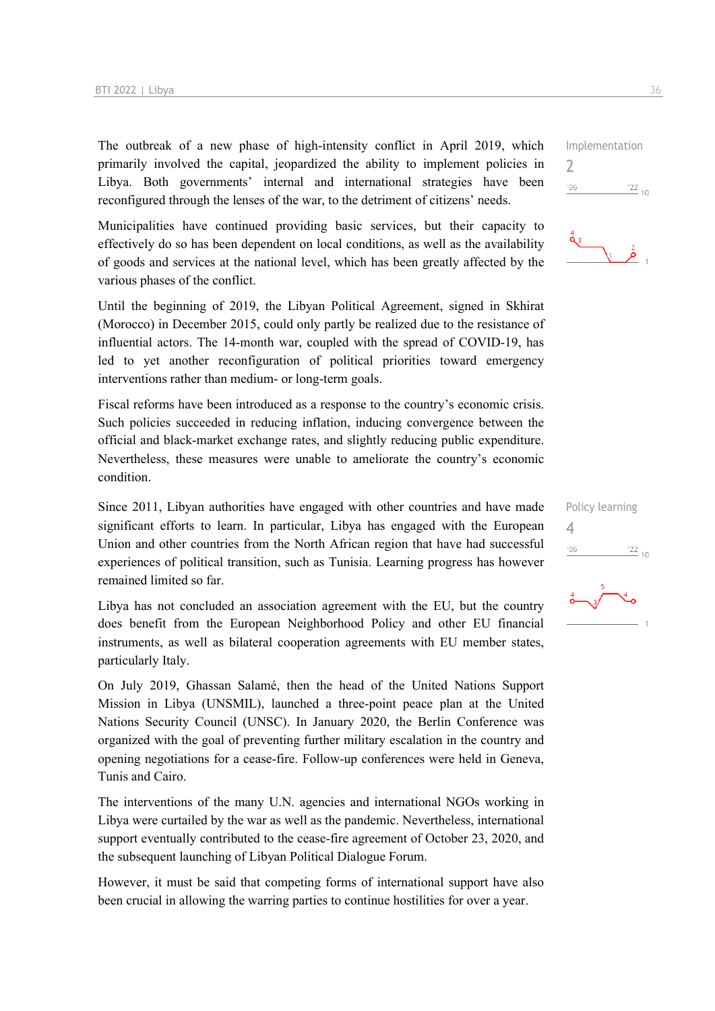The outbreak of a new phase of high-intensity conflict in April 2019, which primarily involved the capital, jeopardized the ability to implement policies in Libya. Both governments' internal and international strategies have been reconfigured through the lenses of the war, to the detriment of citizens' needs.

Municipalities have continued providing basic services, but their capacity to effectively do so has been dependent on local conditions, as well as the availability of goods and services at the national level, which has been greatly affected by the various phases of the conflict.

Until the beginning of 2019, the Libyan Political Agreement, signed in Skhirat (Morocco) in December 2015, could only partly be realized due to the resistance of influential actors. The 14-month war, coupled with the spread of COVID-19, has led to yet another reconfiguration of political priorities toward emergency interventions rather than medium- or long-term goals.

Fiscal reforms have been introduced as a response to the country's economic crisis. Such policies succeeded in reducing inflation, inducing convergence between the official and black-market exchange rates, and slightly reducing public expenditure. Nevertheless, these measures were unable to ameliorate the country's economic condition.

Since 2011, Libyan authorities have engaged with other countries and have made significant efforts to learn. In particular, Libya has engaged with the European Union and other countries from the North African region that have had successful experiences of political transition, such as Tunisia. Learning progress has however remained limited so far.

Libya has not concluded an association agreement with the EU, but the country does benefit from the European Neighborhood Policy and other EU financial instruments, as well as bilateral cooperation agreements with EU member states, particularly Italy.

On July 2019, Ghassan Salamé, then the head of the United Nations Support Mission in Libya (UNSMIL), launched a three-point peace plan at the United Nations Security Council (UNSC). In January 2020, the Berlin Conference was organized with the goal of preventing further military escalation in the country and opening negotiations for a cease-fire. Follow-up conferences were held in Geneva, Tunis and Cairo.

The interventions of the many U.N. agencies and international NGOs working in Libya were curtailed by the war as well as the pandemic. Nevertheless, international support eventually contributed to the cease-fire agreement of October 23, 2020, and the subsequent launching of Libyan Political Dialogue Forum.

However, it must be said that competing forms of international support have also been crucial in allowing the warring parties to continue hostilities for over a year.

Implementation 2  $'06$  $\frac{22}{10}$ 



|     | Policy learning |  |
|-----|-----------------|--|
| 4   |                 |  |
| '06 | $^{22}_{-10}$   |  |
|     |                 |  |

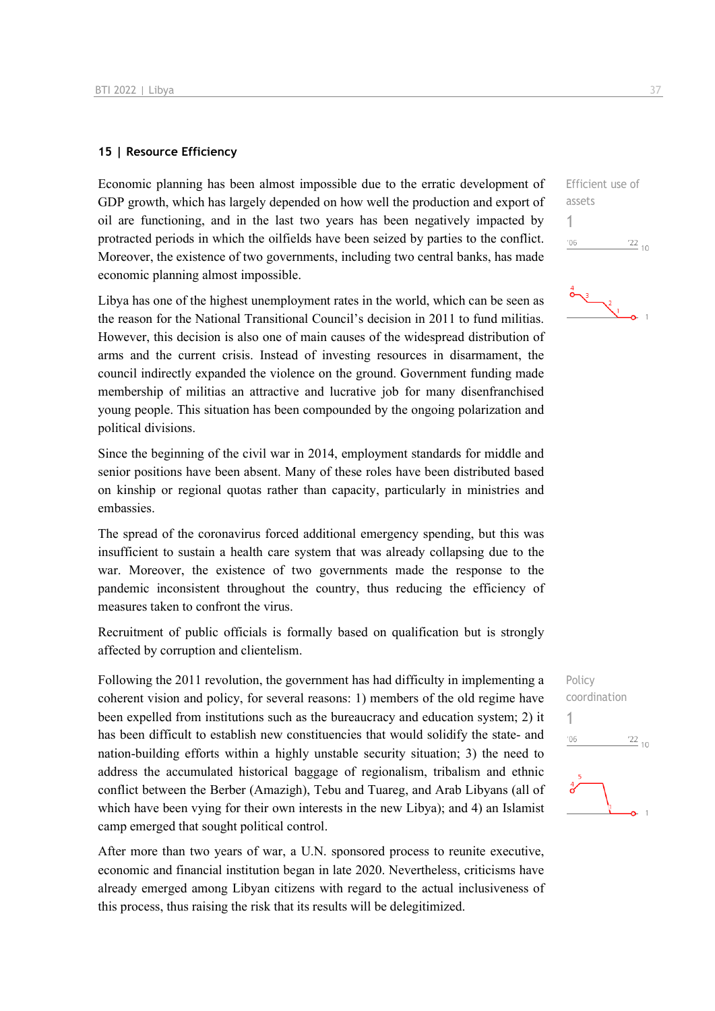#### **15 | Resource Efficiency**

Economic planning has been almost impossible due to the erratic development of GDP growth, which has largely depended on how well the production and export of oil are functioning, and in the last two years has been negatively impacted by protracted periods in which the oilfields have been seized by parties to the conflict. Moreover, the existence of two governments, including two central banks, has made economic planning almost impossible.

Libya has one of the highest unemployment rates in the world, which can be seen as the reason for the National Transitional Council's decision in 2011 to fund militias. However, this decision is also one of main causes of the widespread distribution of arms and the current crisis. Instead of investing resources in disarmament, the council indirectly expanded the violence on the ground. Government funding made membership of militias an attractive and lucrative job for many disenfranchised young people. This situation has been compounded by the ongoing polarization and political divisions.

Since the beginning of the civil war in 2014, employment standards for middle and senior positions have been absent. Many of these roles have been distributed based on kinship or regional quotas rather than capacity, particularly in ministries and embassies.

The spread of the coronavirus forced additional emergency spending, but this was insufficient to sustain a health care system that was already collapsing due to the war. Moreover, the existence of two governments made the response to the pandemic inconsistent throughout the country, thus reducing the efficiency of measures taken to confront the virus.

Recruitment of public officials is formally based on qualification but is strongly affected by corruption and clientelism.

Following the 2011 revolution, the government has had difficulty in implementing a coherent vision and policy, for several reasons: 1) members of the old regime have been expelled from institutions such as the bureaucracy and education system; 2) it has been difficult to establish new constituencies that would solidify the state- and nation-building efforts within a highly unstable security situation; 3) the need to address the accumulated historical baggage of regionalism, tribalism and ethnic conflict between the Berber (Amazigh), Tebu and Tuareg, and Arab Libyans (all of which have been vying for their own interests in the new Libya); and 4) an Islamist camp emerged that sought political control.

After more than two years of war, a U.N. sponsored process to reunite executive, economic and financial institution began in late 2020. Nevertheless, criticisms have already emerged among Libyan citizens with regard to the actual inclusiveness of this process, thus raising the risk that its results will be delegitimized.

Efficient use of assets 1  $-06$  $\frac{22}{10}$ 

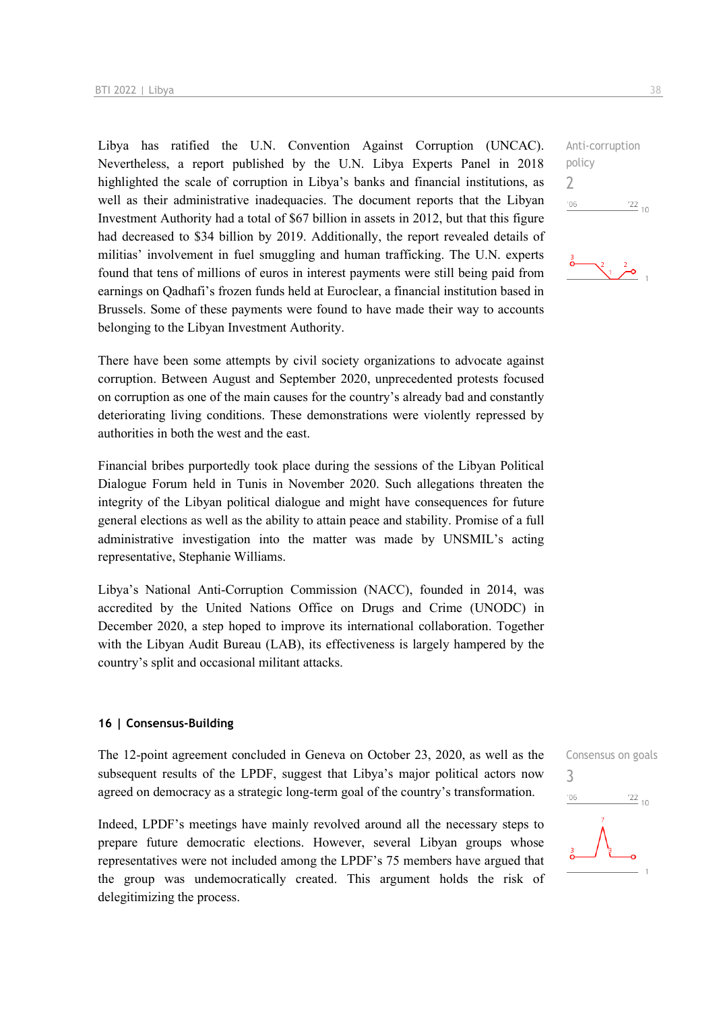Libya has ratified the U.N. Convention Against Corruption (UNCAC). Nevertheless, a report published by the U.N. Libya Experts Panel in 2018 highlighted the scale of corruption in Libya's banks and financial institutions, as well as their administrative inadequacies. The document reports that the Libyan Investment Authority had a total of \$67 billion in assets in 2012, but that this figure had decreased to \$34 billion by 2019. Additionally, the report revealed details of militias' involvement in fuel smuggling and human trafficking. The U.N. experts found that tens of millions of euros in interest payments were still being paid from earnings on Qadhafi's frozen funds held at Euroclear, a financial institution based in Brussels. Some of these payments were found to have made their way to accounts belonging to the Libyan Investment Authority.

There have been some attempts by civil society organizations to advocate against corruption. Between August and September 2020, unprecedented protests focused on corruption as one of the main causes for the country's already bad and constantly deteriorating living conditions. These demonstrations were violently repressed by authorities in both the west and the east.

Financial bribes purportedly took place during the sessions of the Libyan Political Dialogue Forum held in Tunis in November 2020. Such allegations threaten the integrity of the Libyan political dialogue and might have consequences for future general elections as well as the ability to attain peace and stability. Promise of a full administrative investigation into the matter was made by UNSMIL's acting representative, Stephanie Williams.

Libya's National Anti-Corruption Commission (NACC), founded in 2014, was accredited by the United Nations Office on Drugs and Crime (UNODC) in December 2020, a step hoped to improve its international collaboration. Together with the Libyan Audit Bureau (LAB), its effectiveness is largely hampered by the country's split and occasional militant attacks.

#### **16 | Consensus-Building**

The 12-point agreement concluded in Geneva on October 23, 2020, as well as the subsequent results of the LPDF, suggest that Libya's major political actors now agreed on democracy as a strategic long-term goal of the country's transformation.

Indeed, LPDF's meetings have mainly revolved around all the necessary steps to prepare future democratic elections. However, several Libyan groups whose representatives were not included among the LPDF's 75 members have argued that the group was undemocratically created. This argument holds the risk of delegitimizing the process.

# Consensus on goals 3 $'06$  $\frac{22}{10}$

Anti-corruption policy 2  $^{\prime}06$  $\frac{22}{10}$ 

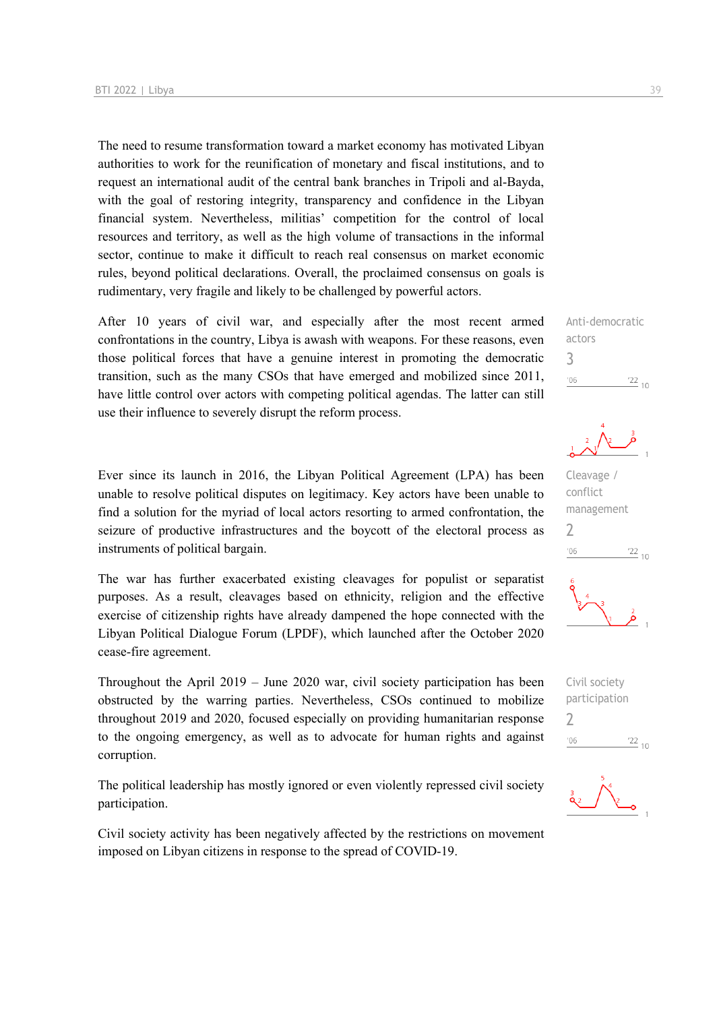The need to resume transformation toward a market economy has motivated Libyan authorities to work for the reunification of monetary and fiscal institutions, and to request an international audit of the central bank branches in Tripoli and al-Bayda, with the goal of restoring integrity, transparency and confidence in the Libyan financial system. Nevertheless, militias' competition for the control of local resources and territory, as well as the high volume of transactions in the informal sector, continue to make it difficult to reach real consensus on market economic rules, beyond political declarations. Overall, the proclaimed consensus on goals is rudimentary, very fragile and likely to be challenged by powerful actors.

After 10 years of civil war, and especially after the most recent armed confrontations in the country, Libya is awash with weapons. For these reasons, even those political forces that have a genuine interest in promoting the democratic transition, such as the many CSOs that have emerged and mobilized since 2011, have little control over actors with competing political agendas. The latter can still use their influence to severely disrupt the reform process.

Ever since its launch in 2016, the Libyan Political Agreement (LPA) has been unable to resolve political disputes on legitimacy. Key actors have been unable to find a solution for the myriad of local actors resorting to armed confrontation, the seizure of productive infrastructures and the boycott of the electoral process as instruments of political bargain.

The war has further exacerbated existing cleavages for populist or separatist purposes. As a result, cleavages based on ethnicity, religion and the effective exercise of citizenship rights have already dampened the hope connected with the Libyan Political Dialogue Forum (LPDF), which launched after the October 2020 cease-fire agreement.

Throughout the April 2019 – June 2020 war, civil society participation has been obstructed by the warring parties. Nevertheless, CSOs continued to mobilize throughout 2019 and 2020, focused especially on providing humanitarian response to the ongoing emergency, as well as to advocate for human rights and against corruption.

The political leadership has mostly ignored or even violently repressed civil society participation.

Civil society activity has been negatively affected by the restrictions on movement imposed on Libyan citizens in response to the spread of COVID-19.

Anti-democratic actors 3  $\frac{22}{10}$  $^{\prime}06$ 

Cleavage / conflict management  $\overline{\phantom{0}}$  $06'$  $\frac{22}{10}$ 



Civil society participation 2 $n<sub>0</sub>$  $^{22}$  10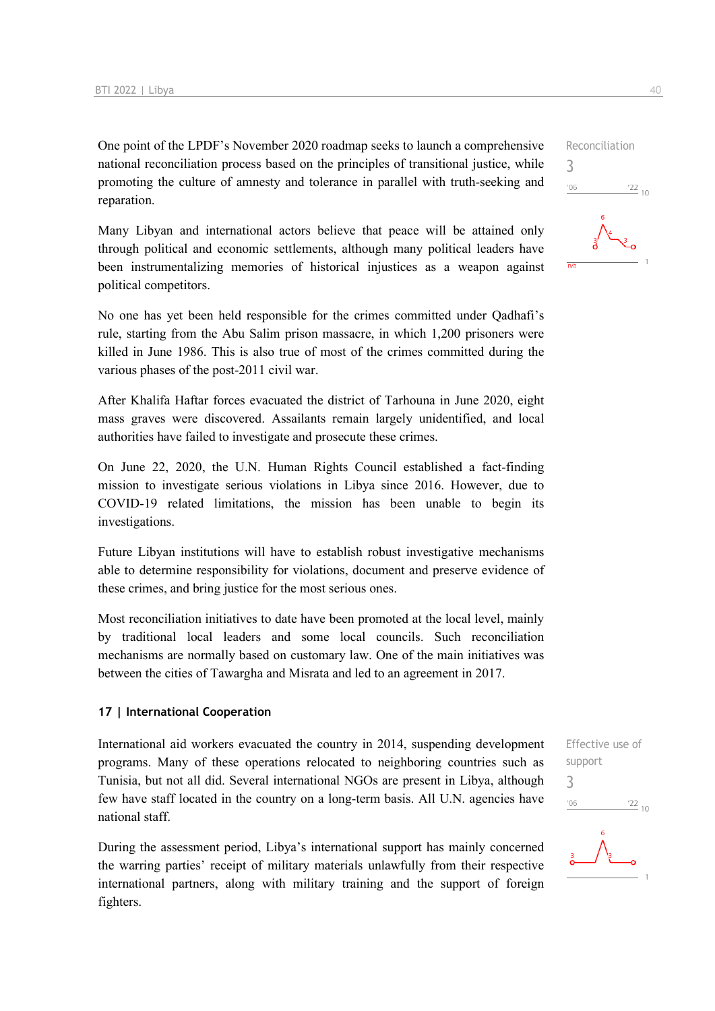One point of the LPDF's November 2020 roadmap seeks to launch a comprehensive national reconciliation process based on the principles of transitional justice, while promoting the culture of amnesty and tolerance in parallel with truth-seeking and reparation.

Many Libyan and international actors believe that peace will be attained only through political and economic settlements, although many political leaders have been instrumentalizing memories of historical injustices as a weapon against political competitors.

No one has yet been held responsible for the crimes committed under Qadhafi's rule, starting from the Abu Salim prison massacre, in which 1,200 prisoners were killed in June 1986. This is also true of most of the crimes committed during the various phases of the post-2011 civil war.

After Khalifa Haftar forces evacuated the district of Tarhouna in June 2020, eight mass graves were discovered. Assailants remain largely unidentified, and local authorities have failed to investigate and prosecute these crimes.

On June 22, 2020, the U.N. Human Rights Council established a fact-finding mission to investigate serious violations in Libya since 2016. However, due to COVID-19 related limitations, the mission has been unable to begin its investigations.

Future Libyan institutions will have to establish robust investigative mechanisms able to determine responsibility for violations, document and preserve evidence of these crimes, and bring justice for the most serious ones.

Most reconciliation initiatives to date have been promoted at the local level, mainly by traditional local leaders and some local councils. Such reconciliation mechanisms are normally based on customary law. One of the main initiatives was between the cities of Tawargha and Misrata and led to an agreement in 2017.

#### **17 | International Cooperation**

International aid workers evacuated the country in 2014, suspending development programs. Many of these operations relocated to neighboring countries such as Tunisia, but not all did. Several international NGOs are present in Libya, although few have staff located in the country on a long-term basis. All U.N. agencies have national staff.

During the assessment period, Libya's international support has mainly concerned the warring parties' receipt of military materials unlawfully from their respective international partners, along with military training and the support of foreign fighters.

Effective use of support 3 $\frac{22}{10}$  $^{\prime}06$ 

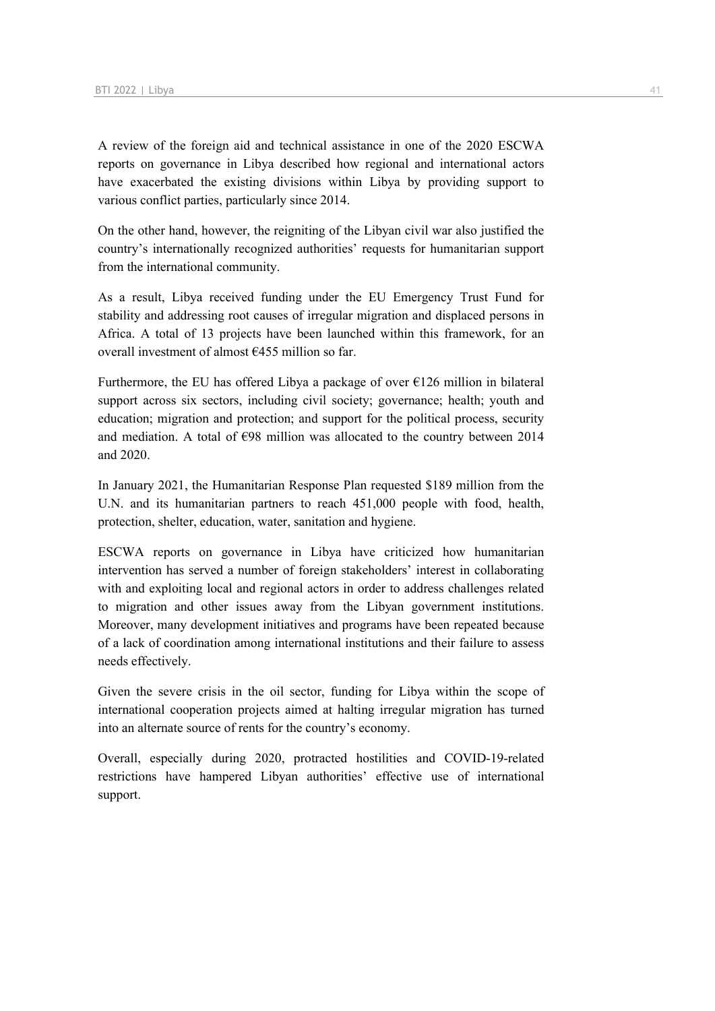A review of the foreign aid and technical assistance in one of the 2020 ESCWA reports on governance in Libya described how regional and international actors have exacerbated the existing divisions within Libya by providing support to various conflict parties, particularly since 2014.

On the other hand, however, the reigniting of the Libyan civil war also justified the country's internationally recognized authorities' requests for humanitarian support from the international community.

As a result, Libya received funding under the EU Emergency Trust Fund for stability and addressing root causes of irregular migration and displaced persons in Africa. A total of 13 projects have been launched within this framework, for an overall investment of almost €455 million so far.

Furthermore, the EU has offered Libya a package of over  $E126$  million in bilateral support across six sectors, including civil society; governance; health; youth and education; migration and protection; and support for the political process, security and mediation. A total of  $\epsilon$ 98 million was allocated to the country between 2014 and 2020.

In January 2021, the Humanitarian Response Plan requested \$189 million from the U.N. and its humanitarian partners to reach 451,000 people with food, health, protection, shelter, education, water, sanitation and hygiene.

ESCWA reports on governance in Libya have criticized how humanitarian intervention has served a number of foreign stakeholders' interest in collaborating with and exploiting local and regional actors in order to address challenges related to migration and other issues away from the Libyan government institutions. Moreover, many development initiatives and programs have been repeated because of a lack of coordination among international institutions and their failure to assess needs effectively.

Given the severe crisis in the oil sector, funding for Libya within the scope of international cooperation projects aimed at halting irregular migration has turned into an alternate source of rents for the country's economy.

Overall, especially during 2020, protracted hostilities and COVID-19-related restrictions have hampered Libyan authorities' effective use of international support.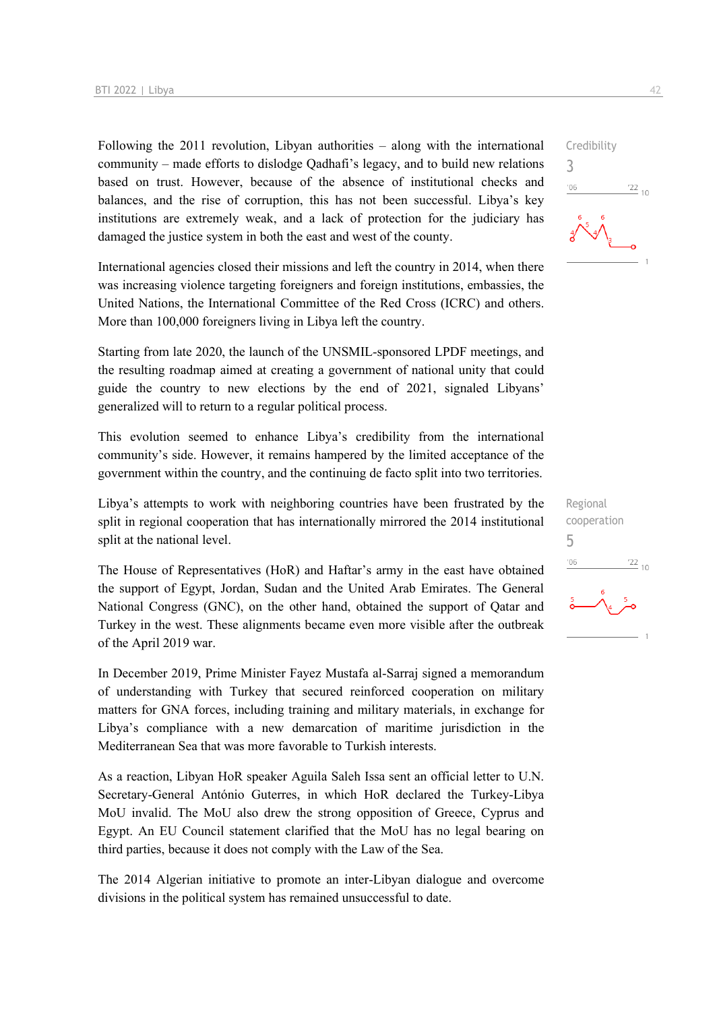Following the 2011 revolution, Libyan authorities – along with the international community – made efforts to dislodge Qadhafi's legacy, and to build new relations based on trust. However, because of the absence of institutional checks and balances, and the rise of corruption, this has not been successful. Libya's key institutions are extremely weak, and a lack of protection for the judiciary has damaged the justice system in both the east and west of the county.

International agencies closed their missions and left the country in 2014, when there was increasing violence targeting foreigners and foreign institutions, embassies, the United Nations, the International Committee of the Red Cross (ICRC) and others. More than 100,000 foreigners living in Libya left the country.

Starting from late 2020, the launch of the UNSMIL-sponsored LPDF meetings, and the resulting roadmap aimed at creating a government of national unity that could guide the country to new elections by the end of 2021, signaled Libyans' generalized will to return to a regular political process.

This evolution seemed to enhance Libya's credibility from the international community's side. However, it remains hampered by the limited acceptance of the government within the country, and the continuing de facto split into two territories.

Libya's attempts to work with neighboring countries have been frustrated by the split in regional cooperation that has internationally mirrored the 2014 institutional split at the national level.

The House of Representatives (HoR) and Haftar's army in the east have obtained the support of Egypt, Jordan, Sudan and the United Arab Emirates. The General National Congress (GNC), on the other hand, obtained the support of Qatar and Turkey in the west. These alignments became even more visible after the outbreak of the April 2019 war.

In December 2019, Prime Minister Fayez Mustafa al-Sarraj signed a memorandum of understanding with Turkey that secured reinforced cooperation on military matters for GNA forces, including training and military materials, in exchange for Libya's compliance with a new demarcation of maritime jurisdiction in the Mediterranean Sea that was more favorable to Turkish interests.

As a reaction, Libyan HoR speaker Aguila Saleh Issa sent an official letter to U.N. Secretary-General António Guterres, in which HoR declared the Turkey-Libya MoU invalid. The MoU also drew the strong opposition of Greece, Cyprus and Egypt. An EU Council statement clarified that the MoU has no legal bearing on third parties, because it does not comply with the Law of the Sea.

The 2014 Algerian initiative to promote an inter-Libyan dialogue and overcome divisions in the political system has remained unsuccessful to date.



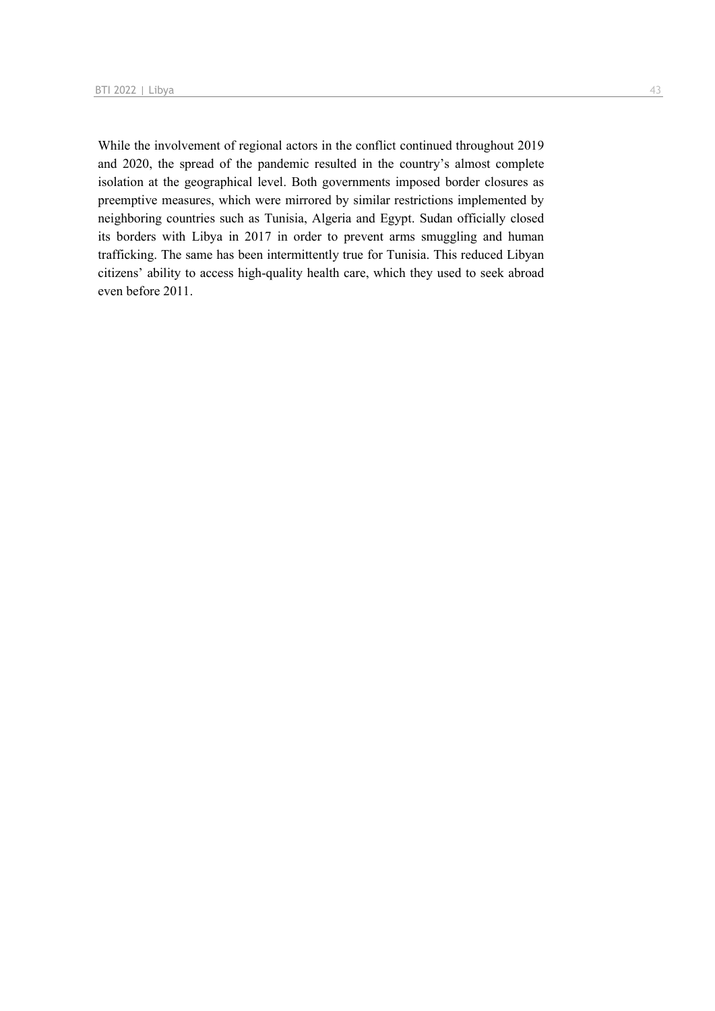While the involvement of regional actors in the conflict continued throughout 2019 and 2020, the spread of the pandemic resulted in the country's almost complete isolation at the geographical level. Both governments imposed border closures as preemptive measures, which were mirrored by similar restrictions implemented by neighboring countries such as Tunisia, Algeria and Egypt. Sudan officially closed its borders with Libya in 2017 in order to prevent arms smuggling and human trafficking. The same has been intermittently true for Tunisia. This reduced Libyan citizens' ability to access high-quality health care, which they used to seek abroad even before 2011.